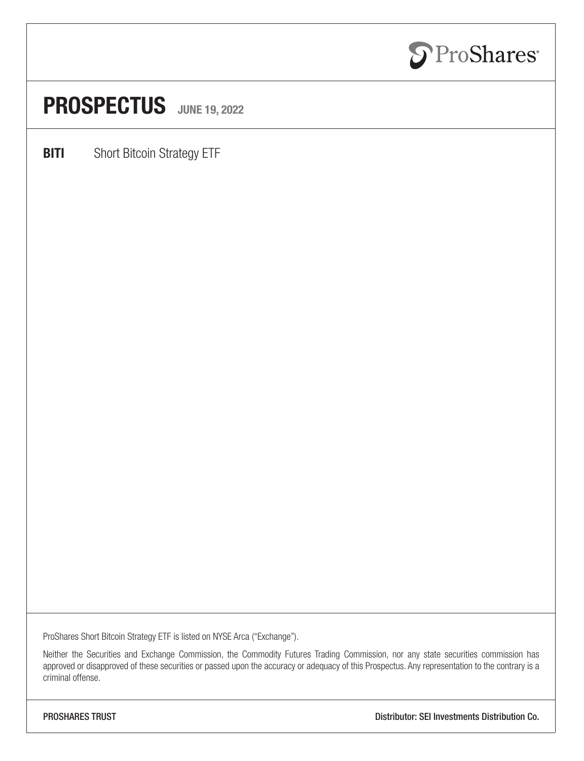

### PROSPECTUS JUNE 19, 2022

**BITI** Short Bitcoin Strategy ETF

ProShares Short Bitcoin Strategy ETF is listed on NYSE Arca ("Exchange").

Neither the Securities and Exchange Commission, the Commodity Futures Trading Commission, nor any state securities commission has approved or disapproved of these securities or passed upon the accuracy or adequacy of this Prospectus. Any representation to the contrary is a criminal offense.

PROSHARES TRUST Distributor: SEI Investments Distribution Co.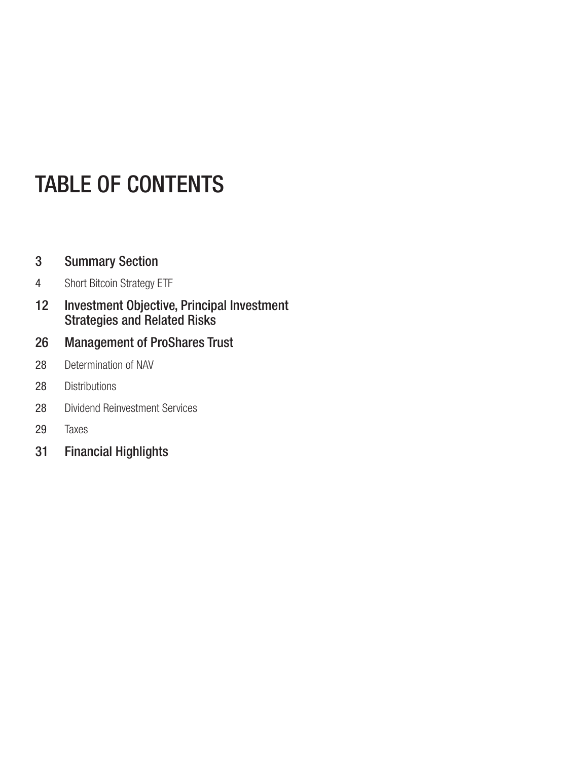### TABLE OF CONTENTS

### [Summary Section](#page-2-0)

- [Short Bitcoin Strategy ETF](#page-3-0)
- [Investment Objective, Principal Investment](#page-11-0) [Strategies and Related Risks](#page-11-0)
- [Management of ProShares Trust](#page-25-0)
- [Determination of NAV](#page-27-0)
- [Distributions](#page-27-0)
- [Dividend Reinvestment Services](#page-27-0)
- [Taxes](#page-28-0)
- [Financial Highlights](#page-30-0)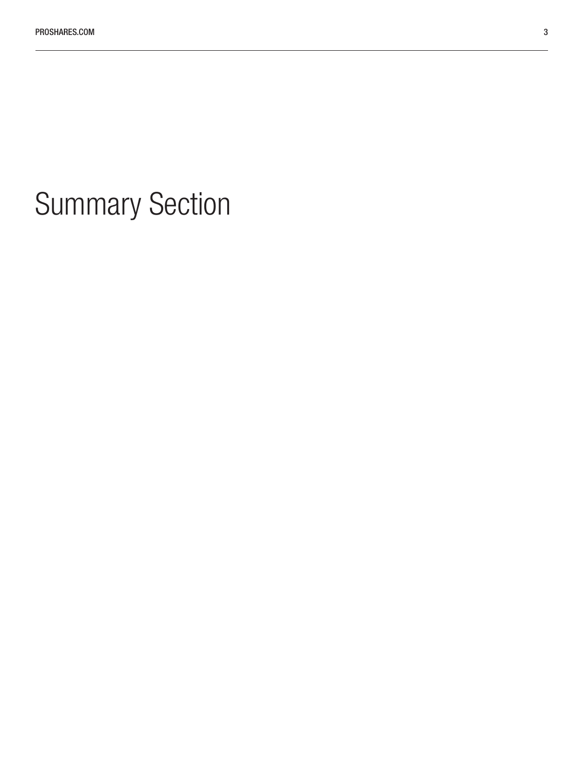# <span id="page-2-0"></span>Summary Section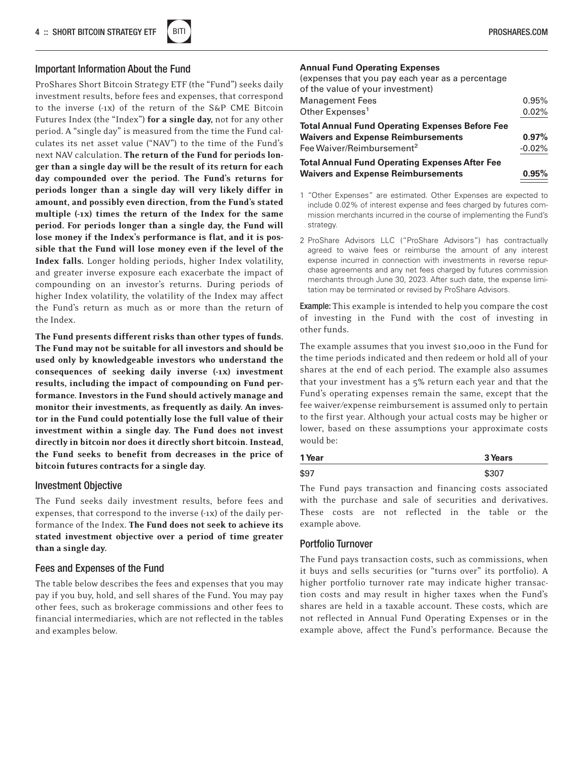

#### <span id="page-3-0"></span>Important Information About the Fund

ProShares Short Bitcoin Strategy ETF (the "Fund") seeks daily investment results, before fees and expenses, that correspond to the inverse (-1x) of the return of the S&P CME Bitcoin Futures Index (the "Index") for a single day, not for any other period. A "single day" is measured from the time the Fund calculates its net asset value ("NAV") to the time of the Fund's next NAV calculation. The return of the Fund for periods longer than a single day will be the result of its return for each day compounded over the period. The Fund's returns for periods longer than a single day will very likely differ in amount, and possibly even direction, from the Fund's stated multiple (-1x) times the return of the Index for the same period. For periods longer than a single day, the Fund will lose money if the Index's performance is flat, and it is possible that the Fund will lose money even if the level of the Index falls. Longer holding periods, higher Index volatility, and greater inverse exposure each exacerbate the impact of compounding on an investor's returns. During periods of higher Index volatility, the volatility of the Index may affect the Fund's return as much as or more than the return of the Index.

The Fund presents different risks than other types of funds. The Fund may not be suitable for all investors and should be used only by knowledgeable investors who understand the consequences of seeking daily inverse (-1x) investment results, including the impact of compounding on Fund performance. Investors in the Fund should actively manage and monitor their investments, as frequently as daily. An investor in the Fund could potentially lose the full value of their investment within a single day. The Fund does not invest directly in bitcoin nor does it directly short bitcoin. Instead, the Fund seeks to benefit from decreases in the price of bitcoin futures contracts for a single day.

#### Investment Objective

The Fund seeks daily investment results, before fees and expenses, that correspond to the inverse (-1x) of the daily performance of the Index. The Fund does not seek to achieve its stated investment objective over a period of time greater than a single day.

#### Fees and Expenses of the Fund

The table below describes the fees and expenses that you may pay if you buy, hold, and sell shares of the Fund. You may pay other fees, such as brokerage commissions and other fees to financial intermediaries, which are not reflected in the tables and examples below.

#### **Annual Fund Operating Expenses**

| (expenses that you pay each year as a percentage<br>of the value of your investment) |          |
|--------------------------------------------------------------------------------------|----------|
| <b>Management Fees</b>                                                               | 0.95%    |
| Other Expenses <sup>1</sup>                                                          | 0.02%    |
| <b>Total Annual Fund Operating Expenses Before Fee</b>                               |          |
| <b>Waivers and Expense Reimbursements</b>                                            | $0.97\%$ |
| Fee Waiver/Reimbursement <sup>2</sup>                                                | $-0.02%$ |
| <b>Total Annual Fund Operating Expenses After Fee</b>                                |          |
| <b>Waivers and Expense Reimbursements</b>                                            | $0.95\%$ |

- 1 "Other Expenses" are estimated. Other Expenses are expected to include 0.02% of interest expense and fees charged by futures commission merchants incurred in the course of implementing the Fund's strategy.
- 2 ProShare Advisors LLC ("ProShare Advisors") has contractually agreed to waive fees or reimburse the amount of any interest expense incurred in connection with investments in reverse repurchase agreements and any net fees charged by futures commission merchants through June 30, 2023. After such date, the expense limitation may be terminated or revised by ProShare Advisors.

Example: This example is intended to help you compare the cost of investing in the Fund with the cost of investing in other funds.

The example assumes that you invest \$10,000 in the Fund for the time periods indicated and then redeem or hold all of your shares at the end of each period. The example also assumes that your investment has a 5% return each year and that the Fund's operating expenses remain the same, except that the fee waiver/expense reimbursement is assumed only to pertain to the first year. Although your actual costs may be higher or lower, based on these assumptions your approximate costs would be:

| 1 Year | 3 Years |  |  |
|--------|---------|--|--|
| \$97   | \$307   |  |  |

The Fund pays transaction and financing costs associated with the purchase and sale of securities and derivatives. These costs are not reflected in the table or the example above.

#### Portfolio Turnover

The Fund pays transaction costs, such as commissions, when it buys and sells securities (or "turns over" its portfolio). A higher portfolio turnover rate may indicate higher transaction costs and may result in higher taxes when the Fund's shares are held in a taxable account. These costs, which are not reflected in Annual Fund Operating Expenses or in the example above, affect the Fund's performance. Because the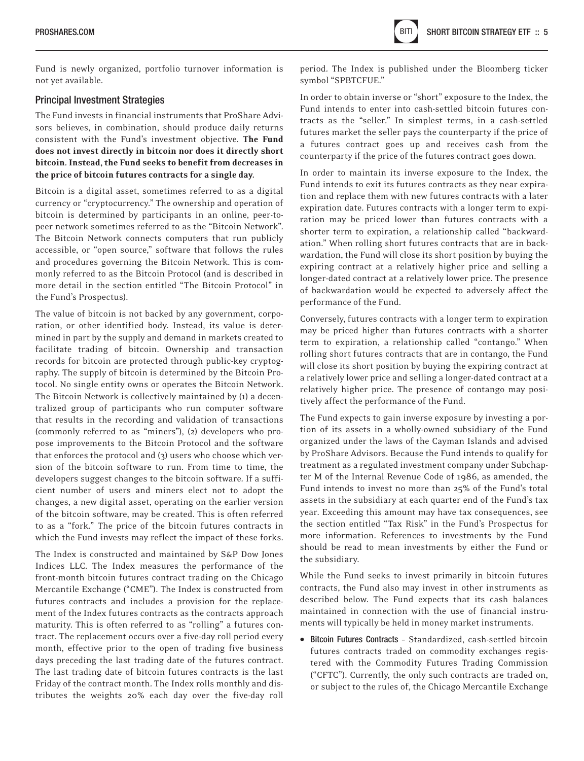Fund is newly organized, portfolio turnover information is not yet available.

#### Principal Investment Strategies

The Fund invests in financial instruments that ProShare Advisors believes, in combination, should produce daily returns consistent with the Fund's investment objective. The Fund does not invest directly in bitcoin nor does it directly short bitcoin. Instead, the Fund seeks to benefit from decreases in the price of bitcoin futures contracts for a single day.

Bitcoin is a digital asset, sometimes referred to as a digital currency or "cryptocurrency." The ownership and operation of bitcoin is determined by participants in an online, peer-topeer network sometimes referred to as the "Bitcoin Network". The Bitcoin Network connects computers that run publicly accessible, or "open source," software that follows the rules and procedures governing the Bitcoin Network. This is commonly referred to as the Bitcoin Protocol (and is described in more detail in the section entitled "The Bitcoin Protocol" in the Fund's Prospectus).

The value of bitcoin is not backed by any government, corporation, or other identified body. Instead, its value is determined in part by the supply and demand in markets created to facilitate trading of bitcoin. Ownership and transaction records for bitcoin are protected through public-key cryptography. The supply of bitcoin is determined by the Bitcoin Protocol. No single entity owns or operates the Bitcoin Network. The Bitcoin Network is collectively maintained by (1) a decentralized group of participants who run computer software that results in the recording and validation of transactions (commonly referred to as "miners"), (2) developers who propose improvements to the Bitcoin Protocol and the software that enforces the protocol and (3) users who choose which version of the bitcoin software to run. From time to time, the developers suggest changes to the bitcoin software. If a sufficient number of users and miners elect not to adopt the changes, a new digital asset, operating on the earlier version of the bitcoin software, may be created. This is often referred to as a "fork." The price of the bitcoin futures contracts in which the Fund invests may reflect the impact of these forks.

The Index is constructed and maintained by S&P Dow Jones Indices LLC. The Index measures the performance of the front-month bitcoin futures contract trading on the Chicago Mercantile Exchange ("CME"). The Index is constructed from futures contracts and includes a provision for the replacement of the Index futures contracts as the contracts approach maturity. This is often referred to as "rolling" a futures contract. The replacement occurs over a five-day roll period every month, effective prior to the open of trading five business days preceding the last trading date of the futures contract. The last trading date of bitcoin futures contracts is the last Friday of the contract month. The Index rolls monthly and distributes the weights 20% each day over the five-day roll

period. The Index is published under the Bloomberg ticker symbol "SPBTCFUE."

In order to obtain inverse or "short" exposure to the Index, the Fund intends to enter into cash-settled bitcoin futures contracts as the "seller." In simplest terms, in a cash-settled futures market the seller pays the counterparty if the price of a futures contract goes up and receives cash from the counterparty if the price of the futures contract goes down.

In order to maintain its inverse exposure to the Index, the Fund intends to exit its futures contracts as they near expiration and replace them with new futures contracts with a later expiration date. Futures contracts with a longer term to expiration may be priced lower than futures contracts with a shorter term to expiration, a relationship called "backwardation." When rolling short futures contracts that are in backwardation, the Fund will close its short position by buying the expiring contract at a relatively higher price and selling a longer-dated contract at a relatively lower price. The presence of backwardation would be expected to adversely affect the performance of the Fund.

Conversely, futures contracts with a longer term to expiration may be priced higher than futures contracts with a shorter term to expiration, a relationship called "contango." When rolling short futures contracts that are in contango, the Fund will close its short position by buying the expiring contract at a relatively lower price and selling a longer-dated contract at a relatively higher price. The presence of contango may positively affect the performance of the Fund.

The Fund expects to gain inverse exposure by investing a portion of its assets in a wholly-owned subsidiary of the Fund organized under the laws of the Cayman Islands and advised by ProShare Advisors. Because the Fund intends to qualify for treatment as a regulated investment company under Subchapter M of the Internal Revenue Code of 1986, as amended, the Fund intends to invest no more than 25% of the Fund's total assets in the subsidiary at each quarter end of the Fund's tax year. Exceeding this amount may have tax consequences, see the section entitled "Tax Risk" in the Fund's Prospectus for more information. References to investments by the Fund should be read to mean investments by either the Fund or the subsidiary.

While the Fund seeks to invest primarily in bitcoin futures contracts, the Fund also may invest in other instruments as described below. The Fund expects that its cash balances maintained in connection with the use of financial instruments will typically be held in money market instruments.

• Bitcoin Futures Contracts – Standardized, cash-settled bitcoin futures contracts traded on commodity exchanges registered with the Commodity Futures Trading Commission ("CFTC"). Currently, the only such contracts are traded on, or subject to the rules of, the Chicago Mercantile Exchange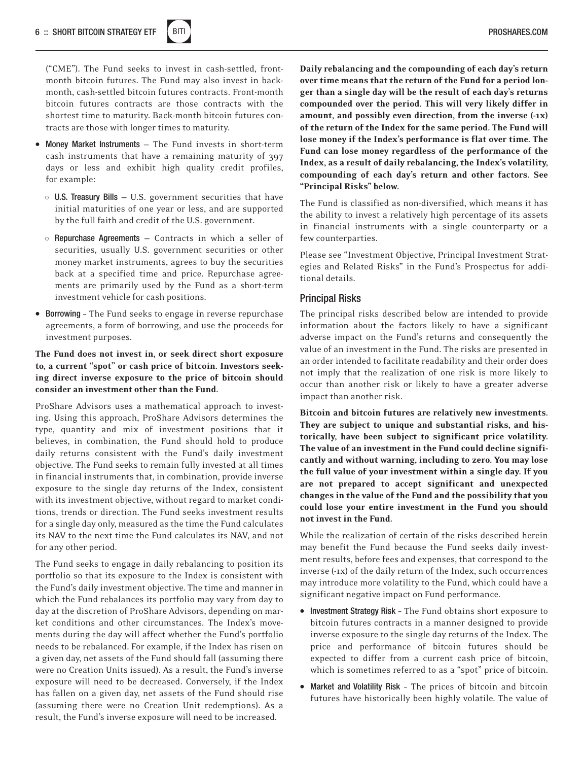

("CME"). The Fund seeks to invest in cash-settled, frontmonth bitcoin futures. The Fund may also invest in backmonth, cash-settled bitcoin futures contracts. Front-month bitcoin futures contracts are those contracts with the shortest time to maturity. Back-month bitcoin futures contracts are those with longer times to maturity.

- Money Market Instruments The Fund invests in short-term cash instruments that have a remaining maturity of 397 days or less and exhibit high quality credit profiles, for example:
	- o U.S. Treasury Bills U.S. government securities that have initial maturities of one year or less, and are supported by the full faith and credit of the U.S. government.
	- o Repurchase Agreements Contracts in which a seller of securities, usually U.S. government securities or other money market instruments, agrees to buy the securities back at a specified time and price. Repurchase agreements are primarily used by the Fund as a short-term investment vehicle for cash positions.
- Borrowing The Fund seeks to engage in reverse repurchase agreements, a form of borrowing, and use the proceeds for investment purposes.

#### The Fund does not invest in, or seek direct short exposure to, a current "spot" or cash price of bitcoin. Investors seeking direct inverse exposure to the price of bitcoin should consider an investment other than the Fund.

ProShare Advisors uses a mathematical approach to investing. Using this approach, ProShare Advisors determines the type, quantity and mix of investment positions that it believes, in combination, the Fund should hold to produce daily returns consistent with the Fund's daily investment objective. The Fund seeks to remain fully invested at all times in financial instruments that, in combination, provide inverse exposure to the single day returns of the Index, consistent with its investment objective, without regard to market conditions, trends or direction. The Fund seeks investment results for a single day only, measured as the time the Fund calculates its NAV to the next time the Fund calculates its NAV, and not for any other period.

The Fund seeks to engage in daily rebalancing to position its portfolio so that its exposure to the Index is consistent with the Fund's daily investment objective. The time and manner in which the Fund rebalances its portfolio may vary from day to day at the discretion of ProShare Advisors, depending on market conditions and other circumstances. The Index's movements during the day will affect whether the Fund's portfolio needs to be rebalanced. For example, if the Index has risen on a given day, net assets of the Fund should fall (assuming there were no Creation Units issued). As a result, the Fund's inverse exposure will need to be decreased. Conversely, if the Index has fallen on a given day, net assets of the Fund should rise (assuming there were no Creation Unit redemptions). As a result, the Fund's inverse exposure will need to be increased.

Daily rebalancing and the compounding of each day's return over time means that the return of the Fund for a period longer than a single day will be the result of each day's returns compounded over the period. This will very likely differ in amount, and possibly even direction, from the inverse (-1x) of the return of the Index for the same period. The Fund will lose money if the Index's performance is flat over time. The Fund can lose money regardless of the performance of the Index, as a result of daily rebalancing, the Index's volatility, compounding of each day's return and other factors. See "Principal Risks" below.

The Fund is classified as non-diversified, which means it has the ability to invest a relatively high percentage of its assets in financial instruments with a single counterparty or a few counterparties.

Please see "Investment Objective, Principal Investment Strategies and Related Risks" in the Fund's Prospectus for additional details.

#### Principal Risks

The principal risks described below are intended to provide information about the factors likely to have a significant adverse impact on the Fund's returns and consequently the value of an investment in the Fund. The risks are presented in an order intended to facilitate readability and their order does not imply that the realization of one risk is more likely to occur than another risk or likely to have a greater adverse impact than another risk.

Bitcoin and bitcoin futures are relatively new investments. They are subject to unique and substantial risks, and historically, have been subject to significant price volatility. The value of an investment in the Fund could decline significantly and without warning, including to zero. You may lose the full value of your investment within a single day. If you are not prepared to accept significant and unexpected changes in the value of the Fund and the possibility that you could lose your entire investment in the Fund you should not invest in the Fund.

While the realization of certain of the risks described herein may benefit the Fund because the Fund seeks daily investment results, before fees and expenses, that correspond to the inverse (-1x) of the daily return of the Index, such occurrences may introduce more volatility to the Fund, which could have a significant negative impact on Fund performance.

- Investment Strategy Risk The Fund obtains short exposure to bitcoin futures contracts in a manner designed to provide inverse exposure to the single day returns of the Index. The price and performance of bitcoin futures should be expected to differ from a current cash price of bitcoin, which is sometimes referred to as a "spot" price of bitcoin.
- Market and Volatility Risk The prices of bitcoin and bitcoin futures have historically been highly volatile. The value of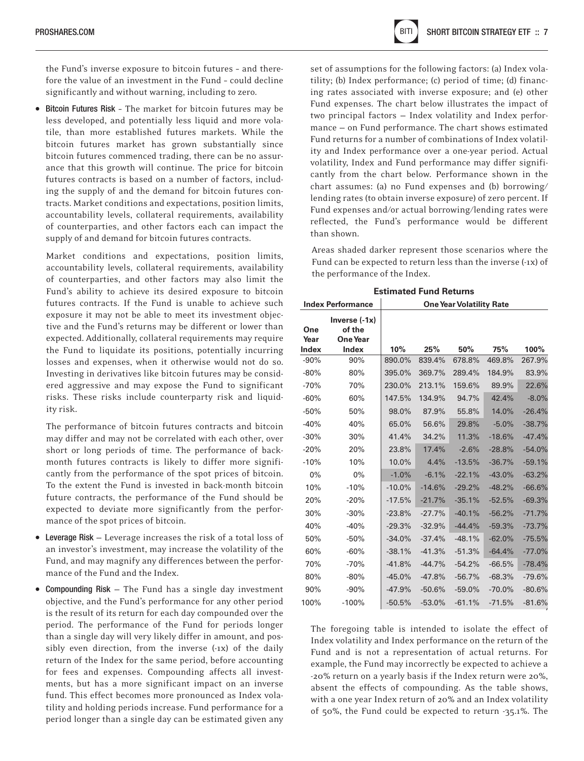the Fund's inverse exposure to bitcoin futures – and therefore the value of an investment in the Fund – could decline significantly and without warning, including to zero.

• Bitcoin Futures Risk – The market for bitcoin futures may be less developed, and potentially less liquid and more volatile, than more established futures markets. While the bitcoin futures market has grown substantially since bitcoin futures commenced trading, there can be no assurance that this growth will continue. The price for bitcoin futures contracts is based on a number of factors, including the supply of and the demand for bitcoin futures contracts. Market conditions and expectations, position limits, accountability levels, collateral requirements, availability of counterparties, and other factors each can impact the supply of and demand for bitcoin futures contracts.

Market conditions and expectations, position limits, accountability levels, collateral requirements, availability of counterparties, and other factors may also limit the Fund's ability to achieve its desired exposure to bitcoin futures contracts. If the Fund is unable to achieve such exposure it may not be able to meet its investment objective and the Fund's returns may be different or lower than expected. Additionally, collateral requirements may require the Fund to liquidate its positions, potentially incurring losses and expenses, when it otherwise would not do so. Investing in derivatives like bitcoin futures may be considered aggressive and may expose the Fund to significant risks. These risks include counterparty risk and liquidity risk.

The performance of bitcoin futures contracts and bitcoin may differ and may not be correlated with each other, over short or long periods of time. The performance of backmonth futures contracts is likely to differ more significantly from the performance of the spot prices of bitcoin. To the extent the Fund is invested in back-month bitcoin future contracts, the performance of the Fund should be expected to deviate more significantly from the performance of the spot prices of bitcoin.

- Leverage Risk Leverage increases the risk of a total loss of an investor's investment, may increase the volatility of the Fund, and may magnify any differences between the performance of the Fund and the Index.
- Compounding Risk The Fund has a single day investment objective, and the Fund's performance for any other period is the result of its return for each day compounded over the period. The performance of the Fund for periods longer than a single day will very likely differ in amount, and possibly even direction, from the inverse (-1x) of the daily return of the Index for the same period, before accounting for fees and expenses. Compounding affects all investments, but has a more significant impact on an inverse fund. This effect becomes more pronounced as Index volatility and holding periods increase. Fund performance for a period longer than a single day can be estimated given any

set of assumptions for the following factors: (a) Index volatility; (b) Index performance; (c) period of time; (d) financing rates associated with inverse exposure; and (e) other Fund expenses. The chart below illustrates the impact of two principal factors — Index volatility and Index performance — on Fund performance. The chart shows estimated Fund returns for a number of combinations of Index volatility and Index performance over a one-year period. Actual volatility, Index and Fund performance may differ significantly from the chart below. Performance shown in the chart assumes: (a) no Fund expenses and (b) borrowing/ lending rates (to obtain inverse exposure) of zero percent. If Fund expenses and/or actual borrowing/lending rates were reflected, the Fund's performance would be different than shown.

Areas shaded darker represent those scenarios where the Fund can be expected to return less than the inverse (-1x) of the performance of the Index.

| <b>Index Performance</b>    |                                                       | <b>One Year Volatility Rate</b> |          |          |          |          |
|-----------------------------|-------------------------------------------------------|---------------------------------|----------|----------|----------|----------|
| One<br>Year<br><b>Index</b> | Inverse $(-1x)$<br>of the<br><b>One Year</b><br>Index | 10%                             | 25%      | 50%      | 75%      | 100%     |
| $-90%$                      | 90%                                                   | 890.0%                          | 839.4%   | 678.8%   | 469.8%   | 267.9%   |
| $-80%$                      | 80%                                                   | 395.0%                          | 369.7%   | 289.4%   | 184.9%   | 83.9%    |
| $-70%$                      | 70%                                                   | 230.0%                          | 213.1%   | 159.6%   | 89.9%    | 22.6%    |
| $-60%$                      | 60%                                                   | 147.5%                          | 134.9%   | 94.7%    | 42.4%    | $-8.0%$  |
| $-50%$                      | 50%                                                   | 98.0%                           | 87.9%    | 55.8%    | 14.0%    | $-26.4%$ |
| $-40%$                      | 40%                                                   | 65.0%                           | 56.6%    | 29.8%    | $-5.0%$  | $-38.7%$ |
| $-30%$                      | 30%                                                   | 41.4%                           | 34.2%    | 11.3%    | $-18.6%$ | $-47.4%$ |
| $-20%$                      | 20%                                                   | 23.8%                           | 17.4%    | $-2.6%$  | $-28.8%$ | $-54.0%$ |
| $-10%$                      | 10%                                                   | 10.0%                           | 4.4%     | $-13.5%$ | $-36.7%$ | $-59.1%$ |
| 0%                          | $0\%$                                                 | $-1.0%$                         | $-6.1%$  | $-22.1%$ | $-43.0%$ | $-63.2%$ |
| 10%                         | $-10%$                                                | $-10.0\%$                       | $-14.6%$ | $-29.2%$ | $-48.2%$ | $-66.6%$ |
| 20%                         | $-20%$                                                | $-17.5%$                        | $-21.7%$ | $-35.1%$ | $-52.5%$ | $-69.3%$ |
| 30%                         | $-30%$                                                | $-23.8%$                        | $-27.7%$ | $-40.1%$ | $-56.2%$ | $-71.7%$ |
| 40%                         | $-40%$                                                | $-29.3%$                        | $-32.9%$ | $-44.4%$ | $-59.3%$ | $-73.7%$ |
| 50%                         | $-50%$                                                | $-34.0%$                        | $-37.4%$ | $-48.1%$ | $-62.0%$ | $-75.5%$ |
| 60%                         | $-60%$                                                | $-38.1%$                        | $-41.3%$ | $-51.3%$ | $-64.4%$ | $-77.0%$ |
| 70%                         | $-70%$                                                | $-41.8%$                        | $-44.7%$ | $-54.2%$ | $-66.5%$ | $-78.4%$ |
| 80%                         | $-80%$                                                | $-45.0%$                        | $-47.8%$ | $-56.7%$ | $-68.3%$ | $-79.6%$ |
| 90%                         | $-90%$                                                | $-47.9%$                        | $-50.6%$ | $-59.0%$ | $-70.0%$ | $-80.6%$ |
| 100%                        | $-100%$                                               | $-50.5%$                        | $-53.0%$ | $-61.1%$ | $-71.5%$ | $-81.6%$ |

The foregoing table is intended to isolate the effect of Index volatility and Index performance on the return of the Fund and is not a representation of actual returns. For example, the Fund may incorrectly be expected to achieve a -20% return on a yearly basis if the Index return were 20%, absent the effects of compounding. As the table shows, with a one year Index return of 20% and an Index volatility of 50%, the Fund could be expected to return -35.1%. The

**Estimated Fund Returns**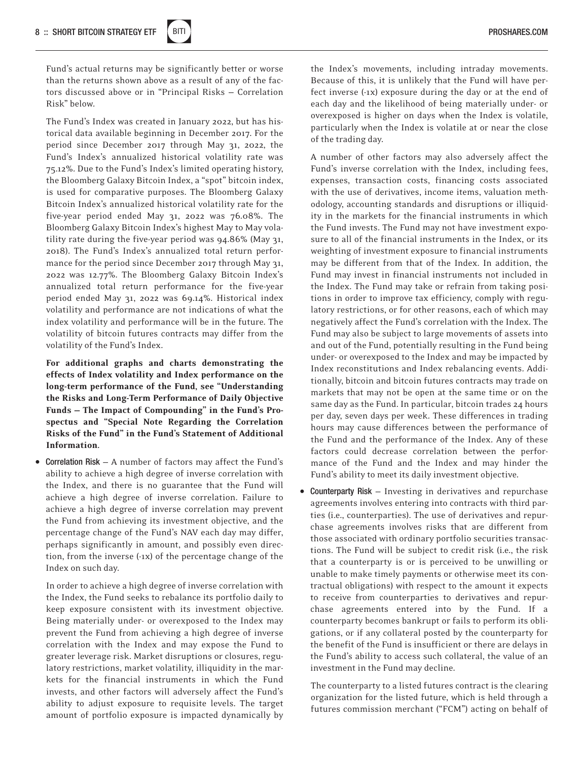

Fund's actual returns may be significantly better or worse than the returns shown above as a result of any of the factors discussed above or in "Principal Risks — Correlation Risk" below.

The Fund's Index was created in January 2022, but has historical data available beginning in December 2017. For the period since December 2017 through May 31, 2022, the Fund's Index's annualized historical volatility rate was 75.12%. Due to the Fund's Index's limited operating history, the Bloomberg Galaxy Bitcoin Index, a "spot" bitcoin index, is used for comparative purposes. The Bloomberg Galaxy Bitcoin Index's annualized historical volatility rate for the five-year period ended May 31, 2022 was 76.08%. The Bloomberg Galaxy Bitcoin Index's highest May to May volatility rate during the five-year period was 94.86% (May 31, 2018). The Fund's Index's annualized total return performance for the period since December 2017 through May 31, 2022 was 12.77%. The Bloomberg Galaxy Bitcoin Index's annualized total return performance for the five-year period ended May 31, 2022 was 69.14%. Historical index volatility and performance are not indications of what the index volatility and performance will be in the future. The volatility of bitcoin futures contracts may differ from the volatility of the Fund's Index.

For additional graphs and charts demonstrating the effects of Index volatility and Index performance on the long-term performance of the Fund, see "Understanding the Risks and Long-Term Performance of Daily Objective Funds — The Impact of Compounding" in the Fund's Prospectus and "Special Note Regarding the Correlation Risks of the Fund" in the Fund's Statement of Additional Information.

• Correlation Risk — A number of factors may affect the Fund's ability to achieve a high degree of inverse correlation with the Index, and there is no guarantee that the Fund will achieve a high degree of inverse correlation. Failure to achieve a high degree of inverse correlation may prevent the Fund from achieving its investment objective, and the percentage change of the Fund's NAV each day may differ, perhaps significantly in amount, and possibly even direction, from the inverse (-1x) of the percentage change of the Index on such day.

In order to achieve a high degree of inverse correlation with the Index, the Fund seeks to rebalance its portfolio daily to keep exposure consistent with its investment objective. Being materially under- or overexposed to the Index may prevent the Fund from achieving a high degree of inverse correlation with the Index and may expose the Fund to greater leverage risk. Market disruptions or closures, regulatory restrictions, market volatility, illiquidity in the markets for the financial instruments in which the Fund invests, and other factors will adversely affect the Fund's ability to adjust exposure to requisite levels. The target amount of portfolio exposure is impacted dynamically by

the Index's movements, including intraday movements. Because of this, it is unlikely that the Fund will have perfect inverse (-1x) exposure during the day or at the end of each day and the likelihood of being materially under- or overexposed is higher on days when the Index is volatile, particularly when the Index is volatile at or near the close of the trading day.

A number of other factors may also adversely affect the Fund's inverse correlation with the Index, including fees, expenses, transaction costs, financing costs associated with the use of derivatives, income items, valuation methodology, accounting standards and disruptions or illiquidity in the markets for the financial instruments in which the Fund invests. The Fund may not have investment exposure to all of the financial instruments in the Index, or its weighting of investment exposure to financial instruments may be different from that of the Index. In addition, the Fund may invest in financial instruments not included in the Index. The Fund may take or refrain from taking positions in order to improve tax efficiency, comply with regulatory restrictions, or for other reasons, each of which may negatively affect the Fund's correlation with the Index. The Fund may also be subject to large movements of assets into and out of the Fund, potentially resulting in the Fund being under- or overexposed to the Index and may be impacted by Index reconstitutions and Index rebalancing events. Additionally, bitcoin and bitcoin futures contracts may trade on markets that may not be open at the same time or on the same day as the Fund. In particular, bitcoin trades 24 hours per day, seven days per week. These differences in trading hours may cause differences between the performance of the Fund and the performance of the Index. Any of these factors could decrease correlation between the performance of the Fund and the Index and may hinder the Fund's ability to meet its daily investment objective.

• Counterparty Risk – Investing in derivatives and repurchase agreements involves entering into contracts with third parties (i.e., counterparties). The use of derivatives and repurchase agreements involves risks that are different from those associated with ordinary portfolio securities transactions. The Fund will be subject to credit risk (i.e., the risk that a counterparty is or is perceived to be unwilling or unable to make timely payments or otherwise meet its contractual obligations) with respect to the amount it expects to receive from counterparties to derivatives and repurchase agreements entered into by the Fund. If a counterparty becomes bankrupt or fails to perform its obligations, or if any collateral posted by the counterparty for the benefit of the Fund is insufficient or there are delays in the Fund's ability to access such collateral, the value of an investment in the Fund may decline.

The counterparty to a listed futures contract is the clearing organization for the listed future, which is held through a futures commission merchant ("FCM") acting on behalf of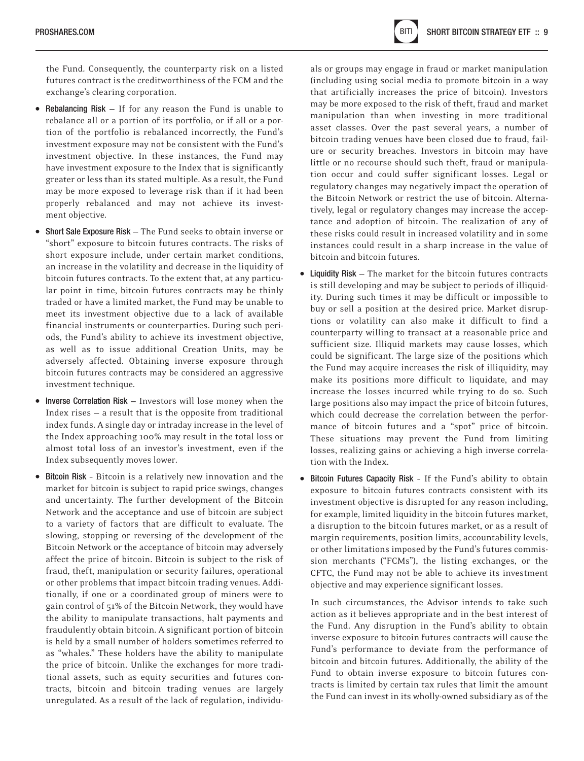the Fund. Consequently, the counterparty risk on a listed futures contract is the creditworthiness of the FCM and the exchange's clearing corporation.

- Rebalancing Risk If for any reason the Fund is unable to rebalance all or a portion of its portfolio, or if all or a portion of the portfolio is rebalanced incorrectly, the Fund's investment exposure may not be consistent with the Fund's investment objective. In these instances, the Fund may have investment exposure to the Index that is significantly greater or less than its stated multiple. As a result, the Fund may be more exposed to leverage risk than if it had been properly rebalanced and may not achieve its investment objective.
- Short Sale Exposure Risk The Fund seeks to obtain inverse or "short" exposure to bitcoin futures contracts. The risks of short exposure include, under certain market conditions, an increase in the volatility and decrease in the liquidity of bitcoin futures contracts. To the extent that, at any particular point in time, bitcoin futures contracts may be thinly traded or have a limited market, the Fund may be unable to meet its investment objective due to a lack of available financial instruments or counterparties. During such periods, the Fund's ability to achieve its investment objective, as well as to issue additional Creation Units, may be adversely affected. Obtaining inverse exposure through bitcoin futures contracts may be considered an aggressive investment technique.
- Inverse Correlation Risk Investors will lose money when the Index rises — a result that is the opposite from traditional index funds. A single day or intraday increase in the level of the Index approaching 100% may result in the total loss or almost total loss of an investor's investment, even if the Index subsequently moves lower.
- Bitcoin Risk Bitcoin is a relatively new innovation and the market for bitcoin is subject to rapid price swings, changes and uncertainty. The further development of the Bitcoin Network and the acceptance and use of bitcoin are subject to a variety of factors that are difficult to evaluate. The slowing, stopping or reversing of the development of the Bitcoin Network or the acceptance of bitcoin may adversely affect the price of bitcoin. Bitcoin is subject to the risk of fraud, theft, manipulation or security failures, operational or other problems that impact bitcoin trading venues. Additionally, if one or a coordinated group of miners were to gain control of 51% of the Bitcoin Network, they would have the ability to manipulate transactions, halt payments and fraudulently obtain bitcoin. A significant portion of bitcoin is held by a small number of holders sometimes referred to as "whales." These holders have the ability to manipulate the price of bitcoin. Unlike the exchanges for more traditional assets, such as equity securities and futures contracts, bitcoin and bitcoin trading venues are largely unregulated. As a result of the lack of regulation, individu-

als or groups may engage in fraud or market manipulation (including using social media to promote bitcoin in a way that artificially increases the price of bitcoin). Investors may be more exposed to the risk of theft, fraud and market manipulation than when investing in more traditional asset classes. Over the past several years, a number of bitcoin trading venues have been closed due to fraud, failure or security breaches. Investors in bitcoin may have little or no recourse should such theft, fraud or manipulation occur and could suffer significant losses. Legal or regulatory changes may negatively impact the operation of the Bitcoin Network or restrict the use of bitcoin. Alternatively, legal or regulatory changes may increase the acceptance and adoption of bitcoin. The realization of any of these risks could result in increased volatility and in some instances could result in a sharp increase in the value of bitcoin and bitcoin futures.

- Liquidity Risk The market for the bitcoin futures contracts is still developing and may be subject to periods of illiquidity. During such times it may be difficult or impossible to buy or sell a position at the desired price. Market disruptions or volatility can also make it difficult to find a counterparty willing to transact at a reasonable price and sufficient size. Illiquid markets may cause losses, which could be significant. The large size of the positions which the Fund may acquire increases the risk of illiquidity, may make its positions more difficult to liquidate, and may increase the losses incurred while trying to do so. Such large positions also may impact the price of bitcoin futures, which could decrease the correlation between the performance of bitcoin futures and a "spot" price of bitcoin. These situations may prevent the Fund from limiting losses, realizing gains or achieving a high inverse correlation with the Index.
- Bitcoin Futures Capacity Risk If the Fund's ability to obtain exposure to bitcoin futures contracts consistent with its investment objective is disrupted for any reason including, for example, limited liquidity in the bitcoin futures market, a disruption to the bitcoin futures market, or as a result of margin requirements, position limits, accountability levels, or other limitations imposed by the Fund's futures commission merchants ("FCMs"), the listing exchanges, or the CFTC, the Fund may not be able to achieve its investment objective and may experience significant losses.

In such circumstances, the Advisor intends to take such action as it believes appropriate and in the best interest of the Fund. Any disruption in the Fund's ability to obtain inverse exposure to bitcoin futures contracts will cause the Fund's performance to deviate from the performance of bitcoin and bitcoin futures. Additionally, the ability of the Fund to obtain inverse exposure to bitcoin futures contracts is limited by certain tax rules that limit the amount the Fund can invest in its wholly-owned subsidiary as of the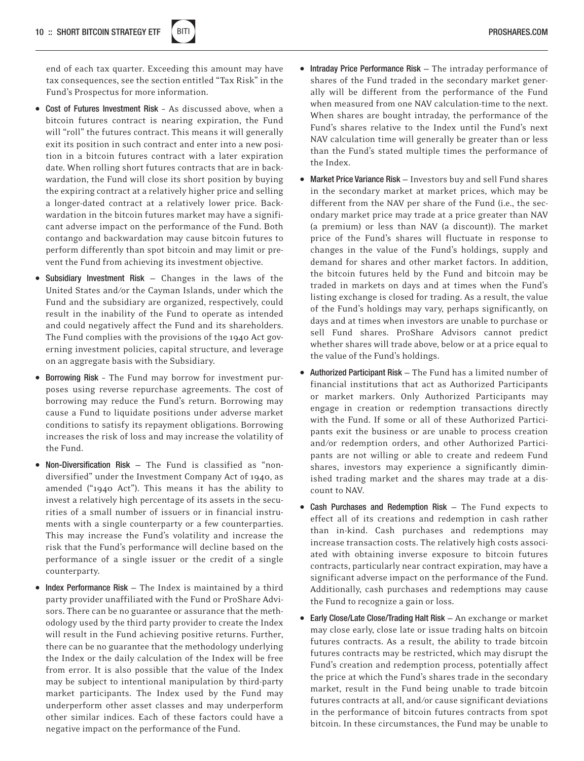

end of each tax quarter. Exceeding this amount may have tax consequences, see the section entitled "Tax Risk" in the Fund's Prospectus for more information.

- Cost of Futures Investment Risk As discussed above, when a bitcoin futures contract is nearing expiration, the Fund will "roll" the futures contract. This means it will generally exit its position in such contract and enter into a new position in a bitcoin futures contract with a later expiration date. When rolling short futures contracts that are in backwardation, the Fund will close its short position by buying the expiring contract at a relatively higher price and selling a longer-dated contract at a relatively lower price. Backwardation in the bitcoin futures market may have a significant adverse impact on the performance of the Fund. Both contango and backwardation may cause bitcoin futures to perform differently than spot bitcoin and may limit or prevent the Fund from achieving its investment objective.
- Subsidiary Investment Risk Changes in the laws of the United States and/or the Cayman Islands, under which the Fund and the subsidiary are organized, respectively, could result in the inability of the Fund to operate as intended and could negatively affect the Fund and its shareholders. The Fund complies with the provisions of the 1940 Act governing investment policies, capital structure, and leverage on an aggregate basis with the Subsidiary.
- Borrowing Risk The Fund may borrow for investment purposes using reverse repurchase agreements. The cost of borrowing may reduce the Fund's return. Borrowing may cause a Fund to liquidate positions under adverse market conditions to satisfy its repayment obligations. Borrowing increases the risk of loss and may increase the volatility of the Fund.
- Non-Diversification Risk The Fund is classified as "nondiversified" under the Investment Company Act of 1940, as amended ("1940 Act"). This means it has the ability to invest a relatively high percentage of its assets in the securities of a small number of issuers or in financial instruments with a single counterparty or a few counterparties. This may increase the Fund's volatility and increase the risk that the Fund's performance will decline based on the performance of a single issuer or the credit of a single counterparty.
- Index Performance Risk The Index is maintained by a third party provider unaffiliated with the Fund or ProShare Advisors. There can be no guarantee or assurance that the methodology used by the third party provider to create the Index will result in the Fund achieving positive returns. Further, there can be no guarantee that the methodology underlying the Index or the daily calculation of the Index will be free from error. It is also possible that the value of the Index may be subject to intentional manipulation by third-party market participants. The Index used by the Fund may underperform other asset classes and may underperform other similar indices. Each of these factors could have a negative impact on the performance of the Fund.
- Intraday Price Performance Risk The intraday performance of shares of the Fund traded in the secondary market generally will be different from the performance of the Fund when measured from one NAV calculation-time to the next. When shares are bought intraday, the performance of the Fund's shares relative to the Index until the Fund's next NAV calculation time will generally be greater than or less than the Fund's stated multiple times the performance of the Index.
- Market Price Variance Risk Investors buy and sell Fund shares in the secondary market at market prices, which may be different from the NAV per share of the Fund (i.e., the secondary market price may trade at a price greater than NAV (a premium) or less than NAV (a discount)). The market price of the Fund's shares will fluctuate in response to changes in the value of the Fund's holdings, supply and demand for shares and other market factors. In addition, the bitcoin futures held by the Fund and bitcoin may be traded in markets on days and at times when the Fund's listing exchange is closed for trading. As a result, the value of the Fund's holdings may vary, perhaps significantly, on days and at times when investors are unable to purchase or sell Fund shares. ProShare Advisors cannot predict whether shares will trade above, below or at a price equal to the value of the Fund's holdings.
- Authorized Participant Risk The Fund has a limited number of financial institutions that act as Authorized Participants or market markers. Only Authorized Participants may engage in creation or redemption transactions directly with the Fund. If some or all of these Authorized Participants exit the business or are unable to process creation and/or redemption orders, and other Authorized Participants are not willing or able to create and redeem Fund shares, investors may experience a significantly diminished trading market and the shares may trade at a discount to NAV.
- Cash Purchases and Redemption Risk The Fund expects to effect all of its creations and redemption in cash rather than in-kind. Cash purchases and redemptions may increase transaction costs. The relatively high costs associated with obtaining inverse exposure to bitcoin futures contracts, particularly near contract expiration, may have a significant adverse impact on the performance of the Fund. Additionally, cash purchases and redemptions may cause the Fund to recognize a gain or loss.
- Early Close/Late Close/Trading Halt Risk An exchange or market may close early, close late or issue trading halts on bitcoin futures contracts. As a result, the ability to trade bitcoin futures contracts may be restricted, which may disrupt the Fund's creation and redemption process, potentially affect the price at which the Fund's shares trade in the secondary market, result in the Fund being unable to trade bitcoin futures contracts at all, and/or cause significant deviations in the performance of bitcoin futures contracts from spot bitcoin. In these circumstances, the Fund may be unable to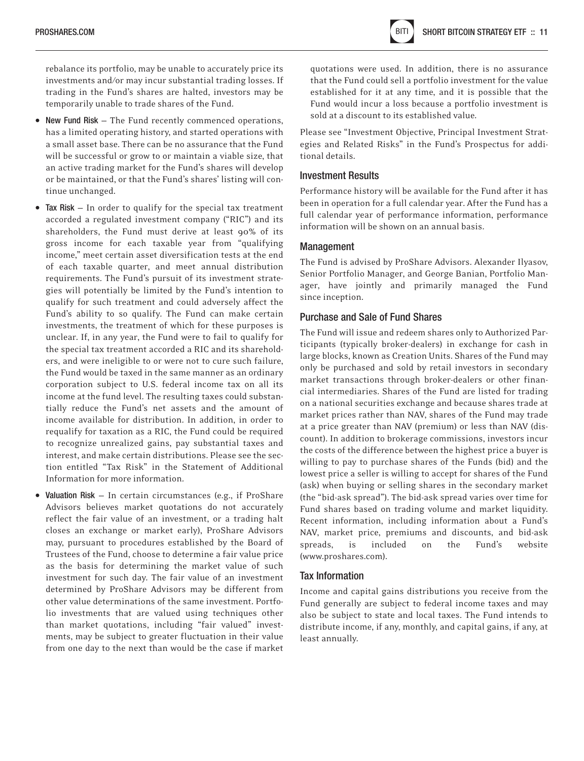rebalance its portfolio, may be unable to accurately price its investments and/or may incur substantial trading losses. If trading in the Fund's shares are halted, investors may be temporarily unable to trade shares of the Fund.

- New Fund Risk The Fund recently commenced operations, has a limited operating history, and started operations with a small asset base. There can be no assurance that the Fund will be successful or grow to or maintain a viable size, that an active trading market for the Fund's shares will develop or be maintained, or that the Fund's shares' listing will continue unchanged.
- Tax Risk In order to qualify for the special tax treatment accorded a regulated investment company ("RIC") and its shareholders, the Fund must derive at least 90% of its gross income for each taxable year from "qualifying income," meet certain asset diversification tests at the end of each taxable quarter, and meet annual distribution requirements. The Fund's pursuit of its investment strategies will potentially be limited by the Fund's intention to qualify for such treatment and could adversely affect the Fund's ability to so qualify. The Fund can make certain investments, the treatment of which for these purposes is unclear. If, in any year, the Fund were to fail to qualify for the special tax treatment accorded a RIC and its shareholders, and were ineligible to or were not to cure such failure, the Fund would be taxed in the same manner as an ordinary corporation subject to U.S. federal income tax on all its income at the fund level. The resulting taxes could substantially reduce the Fund's net assets and the amount of income available for distribution. In addition, in order to requalify for taxation as a RIC, the Fund could be required to recognize unrealized gains, pay substantial taxes and interest, and make certain distributions. Please see the section entitled "Tax Risk" in the Statement of Additional Information for more information.
- Valuation Risk In certain circumstances (e.g., if ProShare Advisors believes market quotations do not accurately reflect the fair value of an investment, or a trading halt closes an exchange or market early), ProShare Advisors may, pursuant to procedures established by the Board of Trustees of the Fund, choose to determine a fair value price as the basis for determining the market value of such investment for such day. The fair value of an investment determined by ProShare Advisors may be different from other value determinations of the same investment. Portfolio investments that are valued using techniques other than market quotations, including "fair valued" investments, may be subject to greater fluctuation in their value from one day to the next than would be the case if market

quotations were used. In addition, there is no assurance that the Fund could sell a portfolio investment for the value established for it at any time, and it is possible that the Fund would incur a loss because a portfolio investment is sold at a discount to its established value.

Please see "Investment Objective, Principal Investment Strategies and Related Risks" in the Fund's Prospectus for additional details.

#### Investment Results

Performance history will be available for the Fund after it has been in operation for a full calendar year. After the Fund has a full calendar year of performance information, performance information will be shown on an annual basis.

#### Management

The Fund is advised by ProShare Advisors. Alexander Ilyasov, Senior Portfolio Manager, and George Banian, Portfolio Manager, have jointly and primarily managed the Fund since inception.

#### Purchase and Sale of Fund Shares

The Fund will issue and redeem shares only to Authorized Participants (typically broker-dealers) in exchange for cash in large blocks, known as Creation Units. Shares of the Fund may only be purchased and sold by retail investors in secondary market transactions through broker-dealers or other financial intermediaries. Shares of the Fund are listed for trading on a national securities exchange and because shares trade at market prices rather than NAV, shares of the Fund may trade at a price greater than NAV (premium) or less than NAV (discount). In addition to brokerage commissions, investors incur the costs of the difference between the highest price a buyer is willing to pay to purchase shares of the Funds (bid) and the lowest price a seller is willing to accept for shares of the Fund (ask) when buying or selling shares in the secondary market (the "bid-ask spread"). The bid-ask spread varies over time for Fund shares based on trading volume and market liquidity. Recent information, including information about a Fund's NAV, market price, premiums and discounts, and bid-ask spreads, is included on the Fund's website (www.proshares.com).

#### Tax Information

Income and capital gains distributions you receive from the Fund generally are subject to federal income taxes and may also be subject to state and local taxes. The Fund intends to distribute income, if any, monthly, and capital gains, if any, at least annually.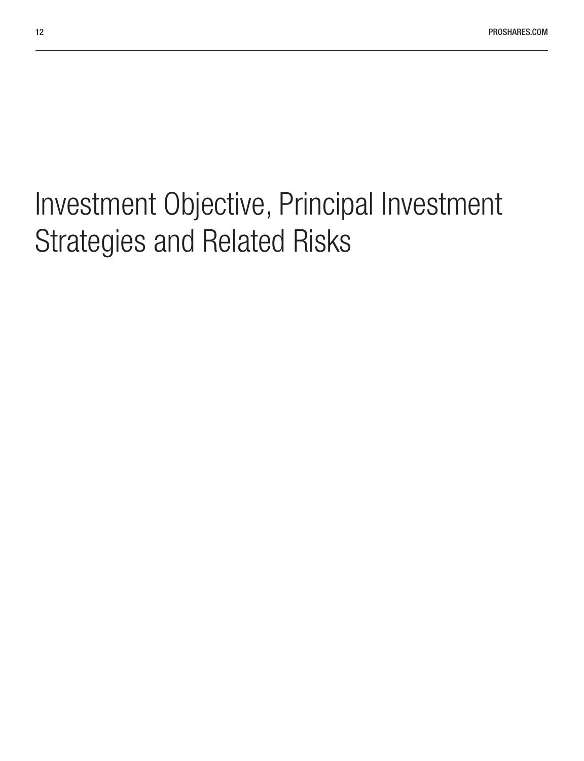# <span id="page-11-0"></span>Investment Objective, Principal Investment Strategies and Related Risks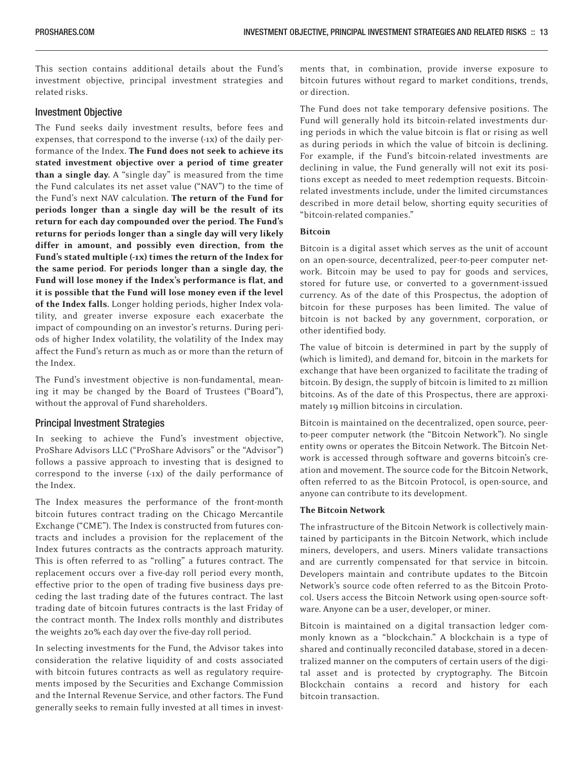This section contains additional details about the Fund's investment objective, principal investment strategies and related risks.

#### Investment Objective

The Fund seeks daily investment results, before fees and expenses, that correspond to the inverse (-1x) of the daily performance of the Index. The Fund does not seek to achieve its stated investment objective over a period of time greater than a single day. A "single day" is measured from the time the Fund calculates its net asset value ("NAV") to the time of the Fund's next NAV calculation. The return of the Fund for periods longer than a single day will be the result of its return for each day compounded over the period. The Fund's returns for periods longer than a single day will very likely differ in amount, and possibly even direction, from the Fund's stated multiple (-1x) times the return of the Index for the same period. For periods longer than a single day, the Fund will lose money if the Index's performance is flat, and it is possible that the Fund will lose money even if the level of the Index falls. Longer holding periods, higher Index volatility, and greater inverse exposure each exacerbate the impact of compounding on an investor's returns. During periods of higher Index volatility, the volatility of the Index may affect the Fund's return as much as or more than the return of the Index.

The Fund's investment objective is non-fundamental, meaning it may be changed by the Board of Trustees ("Board"), without the approval of Fund shareholders.

#### Principal Investment Strategies

In seeking to achieve the Fund's investment objective, ProShare Advisors LLC ("ProShare Advisors" or the "Advisor") follows a passive approach to investing that is designed to correspond to the inverse (-1x) of the daily performance of the Index.

The Index measures the performance of the front-month bitcoin futures contract trading on the Chicago Mercantile Exchange ("CME"). The Index is constructed from futures contracts and includes a provision for the replacement of the Index futures contracts as the contracts approach maturity. This is often referred to as "rolling" a futures contract. The replacement occurs over a five-day roll period every month, effective prior to the open of trading five business days preceding the last trading date of the futures contract. The last trading date of bitcoin futures contracts is the last Friday of the contract month. The Index rolls monthly and distributes the weights 20% each day over the five-day roll period.

In selecting investments for the Fund, the Advisor takes into consideration the relative liquidity of and costs associated with bitcoin futures contracts as well as regulatory requirements imposed by the Securities and Exchange Commission and the Internal Revenue Service, and other factors. The Fund generally seeks to remain fully invested at all times in investments that, in combination, provide inverse exposure to bitcoin futures without regard to market conditions, trends, or direction.

The Fund does not take temporary defensive positions. The Fund will generally hold its bitcoin-related investments during periods in which the value bitcoin is flat or rising as well as during periods in which the value of bitcoin is declining. For example, if the Fund's bitcoin-related investments are declining in value, the Fund generally will not exit its positions except as needed to meet redemption requests. Bitcoinrelated investments include, under the limited circumstances described in more detail below, shorting equity securities of "bitcoin-related companies."

#### Bitcoin

Bitcoin is a digital asset which serves as the unit of account on an open-source, decentralized, peer-to-peer computer network. Bitcoin may be used to pay for goods and services, stored for future use, or converted to a government-issued currency. As of the date of this Prospectus, the adoption of bitcoin for these purposes has been limited. The value of bitcoin is not backed by any government, corporation, or other identified body.

The value of bitcoin is determined in part by the supply of (which is limited), and demand for, bitcoin in the markets for exchange that have been organized to facilitate the trading of bitcoin. By design, the supply of bitcoin is limited to 21 million bitcoins. As of the date of this Prospectus, there are approximately 19 million bitcoins in circulation.

Bitcoin is maintained on the decentralized, open source, peerto-peer computer network (the "Bitcoin Network"). No single entity owns or operates the Bitcoin Network. The Bitcoin Network is accessed through software and governs bitcoin's creation and movement. The source code for the Bitcoin Network, often referred to as the Bitcoin Protocol, is open-source, and anyone can contribute to its development.

#### The Bitcoin Network

The infrastructure of the Bitcoin Network is collectively maintained by participants in the Bitcoin Network, which include miners, developers, and users. Miners validate transactions and are currently compensated for that service in bitcoin. Developers maintain and contribute updates to the Bitcoin Network's source code often referred to as the Bitcoin Protocol. Users access the Bitcoin Network using open-source software. Anyone can be a user, developer, or miner.

Bitcoin is maintained on a digital transaction ledger commonly known as a "blockchain." A blockchain is a type of shared and continually reconciled database, stored in a decentralized manner on the computers of certain users of the digital asset and is protected by cryptography. The Bitcoin Blockchain contains a record and history for each bitcoin transaction.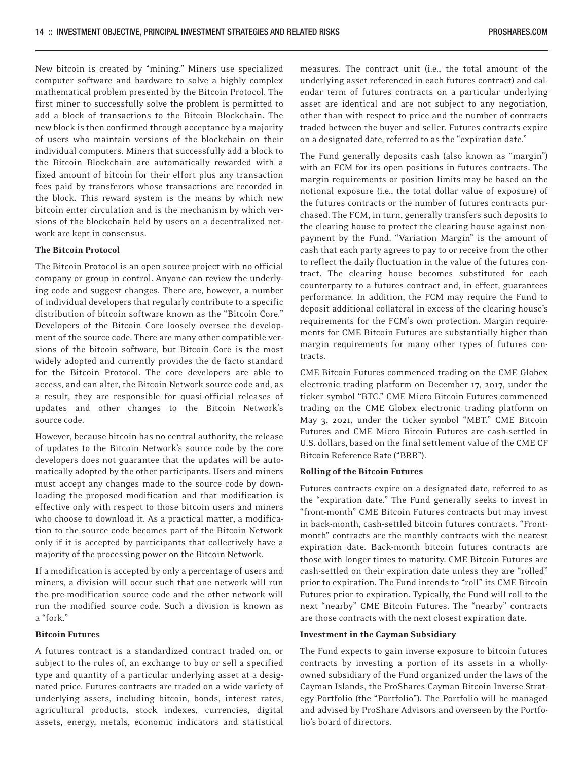New bitcoin is created by "mining." Miners use specialized computer software and hardware to solve a highly complex mathematical problem presented by the Bitcoin Protocol. The first miner to successfully solve the problem is permitted to add a block of transactions to the Bitcoin Blockchain. The new block is then confirmed through acceptance by a majority of users who maintain versions of the blockchain on their individual computers. Miners that successfully add a block to the Bitcoin Blockchain are automatically rewarded with a fixed amount of bitcoin for their effort plus any transaction fees paid by transferors whose transactions are recorded in the block. This reward system is the means by which new bitcoin enter circulation and is the mechanism by which versions of the blockchain held by users on a decentralized network are kept in consensus.

#### The Bitcoin Protocol

The Bitcoin Protocol is an open source project with no official company or group in control. Anyone can review the underlying code and suggest changes. There are, however, a number of individual developers that regularly contribute to a specific distribution of bitcoin software known as the "Bitcoin Core." Developers of the Bitcoin Core loosely oversee the development of the source code. There are many other compatible versions of the bitcoin software, but Bitcoin Core is the most widely adopted and currently provides the de facto standard for the Bitcoin Protocol. The core developers are able to access, and can alter, the Bitcoin Network source code and, as a result, they are responsible for quasi-official releases of updates and other changes to the Bitcoin Network's source code.

However, because bitcoin has no central authority, the release of updates to the Bitcoin Network's source code by the core developers does not guarantee that the updates will be automatically adopted by the other participants. Users and miners must accept any changes made to the source code by downloading the proposed modification and that modification is effective only with respect to those bitcoin users and miners who choose to download it. As a practical matter, a modification to the source code becomes part of the Bitcoin Network only if it is accepted by participants that collectively have a majority of the processing power on the Bitcoin Network.

If a modification is accepted by only a percentage of users and miners, a division will occur such that one network will run the pre-modification source code and the other network will run the modified source code. Such a division is known as a "fork."

#### Bitcoin Futures

A futures contract is a standardized contract traded on, or subject to the rules of, an exchange to buy or sell a specified type and quantity of a particular underlying asset at a designated price. Futures contracts are traded on a wide variety of underlying assets, including bitcoin, bonds, interest rates, agricultural products, stock indexes, currencies, digital assets, energy, metals, economic indicators and statistical measures. The contract unit (i.e., the total amount of the underlying asset referenced in each futures contract) and calendar term of futures contracts on a particular underlying asset are identical and are not subject to any negotiation, other than with respect to price and the number of contracts traded between the buyer and seller. Futures contracts expire on a designated date, referred to as the "expiration date."

The Fund generally deposits cash (also known as "margin") with an FCM for its open positions in futures contracts. The margin requirements or position limits may be based on the notional exposure (i.e., the total dollar value of exposure) of the futures contracts or the number of futures contracts purchased. The FCM, in turn, generally transfers such deposits to the clearing house to protect the clearing house against nonpayment by the Fund. "Variation Margin" is the amount of cash that each party agrees to pay to or receive from the other to reflect the daily fluctuation in the value of the futures contract. The clearing house becomes substituted for each counterparty to a futures contract and, in effect, guarantees performance. In addition, the FCM may require the Fund to deposit additional collateral in excess of the clearing house's requirements for the FCM's own protection. Margin requirements for CME Bitcoin Futures are substantially higher than margin requirements for many other types of futures contracts.

CME Bitcoin Futures commenced trading on the CME Globex electronic trading platform on December 17, 2017, under the ticker symbol "BTC." CME Micro Bitcoin Futures commenced trading on the CME Globex electronic trading platform on May 3, 2021, under the ticker symbol "MBT." CME Bitcoin Futures and CME Micro Bitcoin Futures are cash-settled in U.S. dollars, based on the final settlement value of the CME CF Bitcoin Reference Rate ("BRR").

#### Rolling of the Bitcoin Futures

Futures contracts expire on a designated date, referred to as the "expiration date." The Fund generally seeks to invest in "front-month" CME Bitcoin Futures contracts but may invest in back-month, cash-settled bitcoin futures contracts. "Frontmonth" contracts are the monthly contracts with the nearest expiration date. Back-month bitcoin futures contracts are those with longer times to maturity. CME Bitcoin Futures are cash-settled on their expiration date unless they are "rolled" prior to expiration. The Fund intends to "roll" its CME Bitcoin Futures prior to expiration. Typically, the Fund will roll to the next "nearby" CME Bitcoin Futures. The "nearby" contracts are those contracts with the next closest expiration date.

#### Investment in the Cayman Subsidiary

The Fund expects to gain inverse exposure to bitcoin futures contracts by investing a portion of its assets in a whollyowned subsidiary of the Fund organized under the laws of the Cayman Islands, the ProShares Cayman Bitcoin Inverse Strategy Portfolio (the "Portfolio"). The Portfolio will be managed and advised by ProShare Advisors and overseen by the Portfolio's board of directors.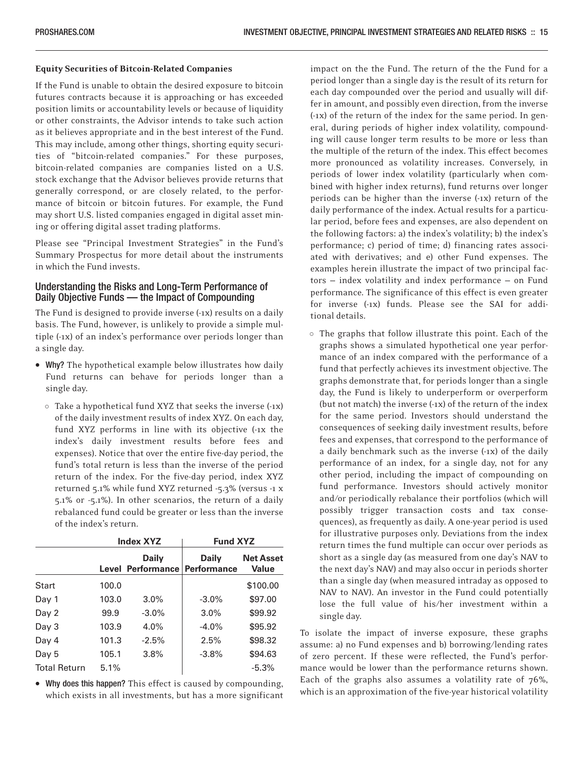#### Equity Securities of Bitcoin-Related Companies

If the Fund is unable to obtain the desired exposure to bitcoin futures contracts because it is approaching or has exceeded position limits or accountability levels or because of liquidity or other constraints, the Advisor intends to take such action as it believes appropriate and in the best interest of the Fund. This may include, among other things, shorting equity securities of "bitcoin-related companies." For these purposes, bitcoin-related companies are companies listed on a U.S. stock exchange that the Advisor believes provide returns that generally correspond, or are closely related, to the performance of bitcoin or bitcoin futures. For example, the Fund may short U.S. listed companies engaged in digital asset mining or offering digital asset trading platforms.

Please see "Principal Investment Strategies" in the Fund's Summary Prospectus for more detail about the instruments in which the Fund invests.

#### Understanding the Risks and Long-Term Performance of Daily Objective Funds — the Impact of Compounding

The Fund is designed to provide inverse (-1x) results on a daily basis. The Fund, however, is unlikely to provide a simple multiple (-1x) of an index's performance over periods longer than a single day.

- Why? The hypothetical example below illustrates how daily Fund returns can behave for periods longer than a single day.
	- Take a hypothetical fund XYZ that seeks the inverse (-1x) of the daily investment results of index XYZ. On each day, fund XYZ performs in line with its objective (-1x the index's daily investment results before fees and expenses). Notice that over the entire five-day period, the fund's total return is less than the inverse of the period return of the index. For the five-day period, index XYZ returned 5.1% while fund XYZ returned -5.3% (versus -1 x 5.1% or -5.1%). In other scenarios, the return of a daily rebalanced fund could be greater or less than the inverse of the index's return.

|                     | <b>Index XYZ</b> |                                          | <b>Fund XYZ</b>                    |                                  |  |
|---------------------|------------------|------------------------------------------|------------------------------------|----------------------------------|--|
|                     |                  | <b>Daily</b><br><b>Level Performance</b> | <b>Daily</b><br><b>Performance</b> | <b>Net Asset</b><br><b>Value</b> |  |
| Start               | 100.0            |                                          |                                    | \$100.00                         |  |
| Day 1               | 103.0            | $3.0\%$                                  | $-3.0\%$                           | \$97.00                          |  |
| Day 2               | 99.9             | $-3.0\%$                                 | 3.0%                               | \$99.92                          |  |
| Day 3               | 103.9            | 4.0%                                     | $-4.0%$                            | \$95.92                          |  |
| Day 4               | 101.3            | $-2.5%$                                  | 2.5%                               | \$98.32                          |  |
| Day 5               | 105.1            | 3.8%                                     | $-3.8%$                            | \$94.63                          |  |
| <b>Total Return</b> | 5.1%             |                                          |                                    | $-5.3%$                          |  |

• Why does this happen? This effect is caused by compounding, which exists in all investments, but has a more significant impact on the the Fund. The return of the the Fund for a period longer than a single day is the result of its return for each day compounded over the period and usually will differ in amount, and possibly even direction, from the inverse (-1x) of the return of the index for the same period. In general, during periods of higher index volatility, compounding will cause longer term results to be more or less than the multiple of the return of the index. This effect becomes more pronounced as volatility increases. Conversely, in periods of lower index volatility (particularly when combined with higher index returns), fund returns over longer periods can be higher than the inverse (-1x) return of the daily performance of the index. Actual results for a particular period, before fees and expenses, are also dependent on the following factors: a) the index's volatility; b) the index's performance; c) period of time; d) financing rates associated with derivatives; and e) other Fund expenses. The examples herein illustrate the impact of two principal factors — index volatility and index performance — on Fund performance. The significance of this effect is even greater for inverse (-1x) funds. Please see the SAI for additional details.

- The graphs that follow illustrate this point. Each of the graphs shows a simulated hypothetical one year performance of an index compared with the performance of a fund that perfectly achieves its investment objective. The graphs demonstrate that, for periods longer than a single day, the Fund is likely to underperform or overperform (but not match) the inverse (-1x) of the return of the index for the same period. Investors should understand the consequences of seeking daily investment results, before fees and expenses, that correspond to the performance of a daily benchmark such as the inverse (-1x) of the daily performance of an index, for a single day, not for any other period, including the impact of compounding on fund performance. Investors should actively monitor and/or periodically rebalance their portfolios (which will possibly trigger transaction costs and tax consequences), as frequently as daily. A one-year period is used for illustrative purposes only. Deviations from the index return times the fund multiple can occur over periods as short as a single day (as measured from one day's NAV to the next day's NAV) and may also occur in periods shorter than a single day (when measured intraday as opposed to NAV to NAV). An investor in the Fund could potentially lose the full value of his/her investment within a single day.

To isolate the impact of inverse exposure, these graphs assume: a) no Fund expenses and b) borrowing/lending rates of zero percent. If these were reflected, the Fund's performance would be lower than the performance returns shown. Each of the graphs also assumes a volatility rate of 76%, which is an approximation of the five-year historical volatility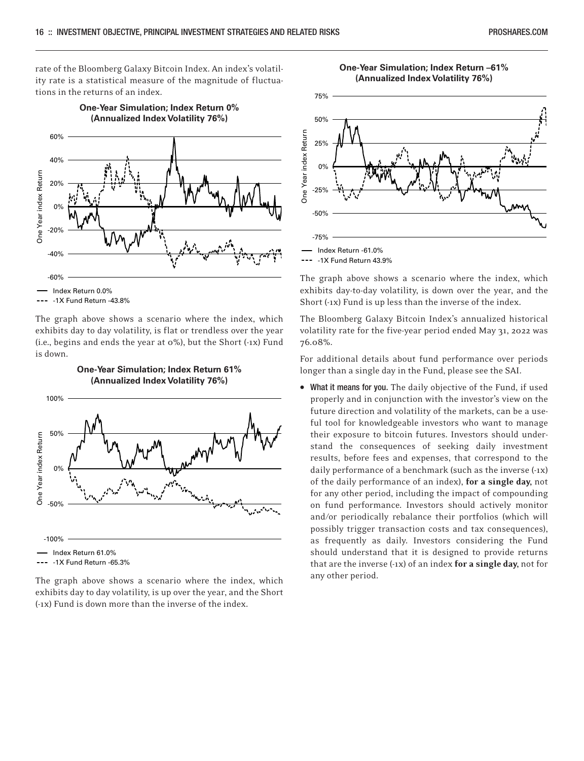rate of the Bloomberg Galaxy Bitcoin Index. An index's volatility rate is a statistical measure of the magnitude of fluctuations in the returns of an index.

**One-Year Simulation; Index Return 0%**



-1X Fund Return -43.8%

The graph above shows a scenario where the index, which exhibits day to day volatility, is flat or trendless over the year (i.e., begins and ends the year at 0%), but the Short (-1x) Fund is down.

**One-Year Simulation; Index Return 61%**



The graph above shows a scenario where the index, which exhibits day to day volatility, is up over the year, and the Short (-1x) Fund is down more than the inverse of the index.





-1X Fund Return 43.9%

The graph above shows a scenario where the index, which exhibits day-to-day volatility, is down over the year, and the Short (-1x) Fund is up less than the inverse of the index.

The Bloomberg Galaxy Bitcoin Index's annualized historical volatility rate for the five-year period ended May 31, 2022 was 76.08%.

For additional details about fund performance over periods longer than a single day in the Fund, please see the SAI.

• What it means for you. The daily objective of the Fund, if used properly and in conjunction with the investor's view on the future direction and volatility of the markets, can be a useful tool for knowledgeable investors who want to manage their exposure to bitcoin futures. Investors should understand the consequences of seeking daily investment results, before fees and expenses, that correspond to the daily performance of a benchmark (such as the inverse (-1x) of the daily performance of an index), for a single day, not for any other period, including the impact of compounding on fund performance. Investors should actively monitor and/or periodically rebalance their portfolios (which will possibly trigger transaction costs and tax consequences), as frequently as daily. Investors considering the Fund should understand that it is designed to provide returns that are the inverse  $(-1x)$  of an index for a single day, not for any other period.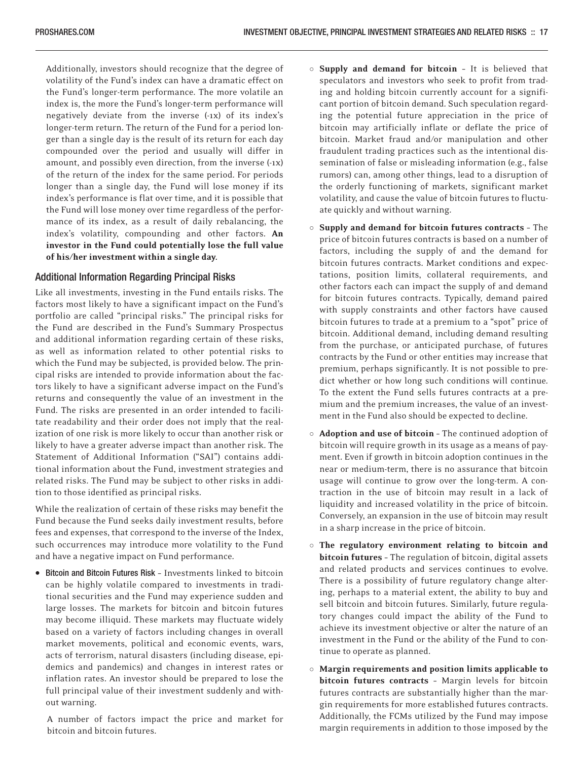Additionally, investors should recognize that the degree of volatility of the Fund's index can have a dramatic effect on the Fund's longer-term performance. The more volatile an index is, the more the Fund's longer-term performance will negatively deviate from the inverse (-1x) of its index's longer-term return. The return of the Fund for a period longer than a single day is the result of its return for each day compounded over the period and usually will differ in amount, and possibly even direction, from the inverse (-1x) of the return of the index for the same period. For periods longer than a single day, the Fund will lose money if its index's performance is flat over time, and it is possible that the Fund will lose money over time regardless of the performance of its index, as a result of daily rebalancing, the index's volatility, compounding and other factors. An investor in the Fund could potentially lose the full value of his/her investment within a single day.

#### Additional Information Regarding Principal Risks

Like all investments, investing in the Fund entails risks. The factors most likely to have a significant impact on the Fund's portfolio are called "principal risks." The principal risks for the Fund are described in the Fund's Summary Prospectus and additional information regarding certain of these risks, as well as information related to other potential risks to which the Fund may be subjected, is provided below. The principal risks are intended to provide information about the factors likely to have a significant adverse impact on the Fund's returns and consequently the value of an investment in the Fund. The risks are presented in an order intended to facilitate readability and their order does not imply that the realization of one risk is more likely to occur than another risk or likely to have a greater adverse impact than another risk. The Statement of Additional Information ("SAI") contains additional information about the Fund, investment strategies and related risks. The Fund may be subject to other risks in addition to those identified as principal risks.

While the realization of certain of these risks may benefit the Fund because the Fund seeks daily investment results, before fees and expenses, that correspond to the inverse of the Index, such occurrences may introduce more volatility to the Fund and have a negative impact on Fund performance.

• Bitcoin and Bitcoin Futures Risk – Investments linked to bitcoin can be highly volatile compared to investments in traditional securities and the Fund may experience sudden and large losses. The markets for bitcoin and bitcoin futures may become illiquid. These markets may fluctuate widely based on a variety of factors including changes in overall market movements, political and economic events, wars, acts of terrorism, natural disasters (including disease, epidemics and pandemics) and changes in interest rates or inflation rates. An investor should be prepared to lose the full principal value of their investment suddenly and without warning.

A number of factors impact the price and market for bitcoin and bitcoin futures.

- o Supply and demand for bitcoin It is believed that speculators and investors who seek to profit from trading and holding bitcoin currently account for a significant portion of bitcoin demand. Such speculation regarding the potential future appreciation in the price of bitcoin may artificially inflate or deflate the price of bitcoin. Market fraud and/or manipulation and other fraudulent trading practices such as the intentional dissemination of false or misleading information (e.g., false rumors) can, among other things, lead to a disruption of the orderly functioning of markets, significant market volatility, and cause the value of bitcoin futures to fluctuate quickly and without warning.
- Supply and demand for bitcoin futures contracts The price of bitcoin futures contracts is based on a number of factors, including the supply of and the demand for bitcoin futures contracts. Market conditions and expectations, position limits, collateral requirements, and other factors each can impact the supply of and demand for bitcoin futures contracts. Typically, demand paired with supply constraints and other factors have caused bitcoin futures to trade at a premium to a "spot" price of bitcoin. Additional demand, including demand resulting from the purchase, or anticipated purchase, of futures contracts by the Fund or other entities may increase that premium, perhaps significantly. It is not possible to predict whether or how long such conditions will continue. To the extent the Fund sells futures contracts at a premium and the premium increases, the value of an investment in the Fund also should be expected to decline.
- o **Adoption and use of bitcoin** The continued adoption of bitcoin will require growth in its usage as a means of payment. Even if growth in bitcoin adoption continues in the near or medium-term, there is no assurance that bitcoin usage will continue to grow over the long-term. A contraction in the use of bitcoin may result in a lack of liquidity and increased volatility in the price of bitcoin. Conversely, an expansion in the use of bitcoin may result in a sharp increase in the price of bitcoin.
- The regulatory environment relating to bitcoin and bitcoin futures – The regulation of bitcoin, digital assets and related products and services continues to evolve. There is a possibility of future regulatory change altering, perhaps to a material extent, the ability to buy and sell bitcoin and bitcoin futures. Similarly, future regulatory changes could impact the ability of the Fund to achieve its investment objective or alter the nature of an investment in the Fund or the ability of the Fund to continue to operate as planned.
- Margin requirements and position limits applicable to bitcoin futures contracts – Margin levels for bitcoin futures contracts are substantially higher than the margin requirements for more established futures contracts. Additionally, the FCMs utilized by the Fund may impose margin requirements in addition to those imposed by the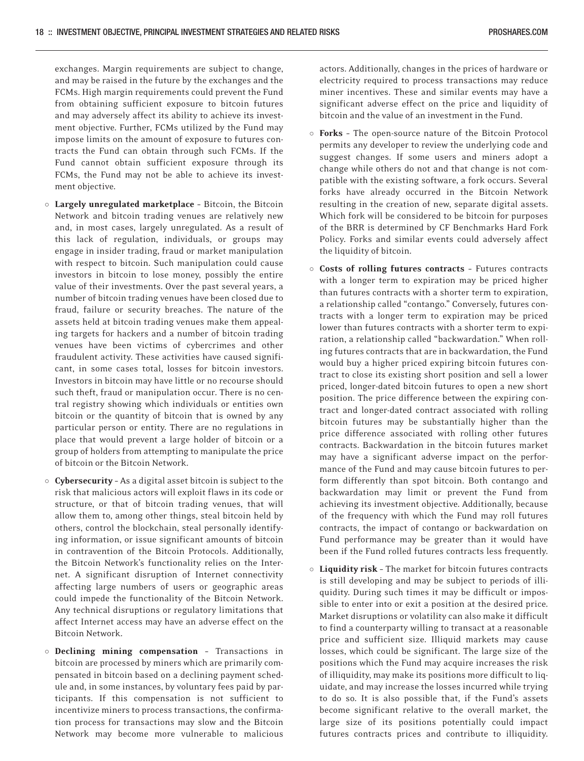exchanges. Margin requirements are subject to change, and may be raised in the future by the exchanges and the FCMs. High margin requirements could prevent the Fund from obtaining sufficient exposure to bitcoin futures and may adversely affect its ability to achieve its investment objective. Further, FCMs utilized by the Fund may impose limits on the amount of exposure to futures contracts the Fund can obtain through such FCMs. If the Fund cannot obtain sufficient exposure through its FCMs, the Fund may not be able to achieve its investment objective.

- o Largely unregulated marketplace Bitcoin, the Bitcoin Network and bitcoin trading venues are relatively new and, in most cases, largely unregulated. As a result of this lack of regulation, individuals, or groups may engage in insider trading, fraud or market manipulation with respect to bitcoin. Such manipulation could cause investors in bitcoin to lose money, possibly the entire value of their investments. Over the past several years, a number of bitcoin trading venues have been closed due to fraud, failure or security breaches. The nature of the assets held at bitcoin trading venues make them appealing targets for hackers and a number of bitcoin trading venues have been victims of cybercrimes and other fraudulent activity. These activities have caused significant, in some cases total, losses for bitcoin investors. Investors in bitcoin may have little or no recourse should such theft, fraud or manipulation occur. There is no central registry showing which individuals or entities own bitcoin or the quantity of bitcoin that is owned by any particular person or entity. There are no regulations in place that would prevent a large holder of bitcoin or a group of holders from attempting to manipulate the price of bitcoin or the Bitcoin Network.
- o Cybersecurity As a digital asset bitcoin is subject to the risk that malicious actors will exploit flaws in its code or structure, or that of bitcoin trading venues, that will allow them to, among other things, steal bitcoin held by others, control the blockchain, steal personally identifying information, or issue significant amounts of bitcoin in contravention of the Bitcoin Protocols. Additionally, the Bitcoin Network's functionality relies on the Internet. A significant disruption of Internet connectivity affecting large numbers of users or geographic areas could impede the functionality of the Bitcoin Network. Any technical disruptions or regulatory limitations that affect Internet access may have an adverse effect on the Bitcoin Network.
- o Declining mining compensation Transactions in bitcoin are processed by miners which are primarily compensated in bitcoin based on a declining payment schedule and, in some instances, by voluntary fees paid by participants. If this compensation is not sufficient to incentivize miners to process transactions, the confirmation process for transactions may slow and the Bitcoin Network may become more vulnerable to malicious

actors. Additionally, changes in the prices of hardware or electricity required to process transactions may reduce miner incentives. These and similar events may have a significant adverse effect on the price and liquidity of bitcoin and the value of an investment in the Fund.

- o Forks The open-source nature of the Bitcoin Protocol permits any developer to review the underlying code and suggest changes. If some users and miners adopt a change while others do not and that change is not compatible with the existing software, a fork occurs. Several forks have already occurred in the Bitcoin Network resulting in the creation of new, separate digital assets. Which fork will be considered to be bitcoin for purposes of the BRR is determined by CF Benchmarks Hard Fork Policy. Forks and similar events could adversely affect the liquidity of bitcoin.
- o Costs of rolling futures contracts Futures contracts with a longer term to expiration may be priced higher than futures contracts with a shorter term to expiration, a relationship called "contango." Conversely, futures contracts with a longer term to expiration may be priced lower than futures contracts with a shorter term to expiration, a relationship called "backwardation." When rolling futures contracts that are in backwardation, the Fund would buy a higher priced expiring bitcoin futures contract to close its existing short position and sell a lower priced, longer-dated bitcoin futures to open a new short position. The price difference between the expiring contract and longer-dated contract associated with rolling bitcoin futures may be substantially higher than the price difference associated with rolling other futures contracts. Backwardation in the bitcoin futures market may have a significant adverse impact on the performance of the Fund and may cause bitcoin futures to perform differently than spot bitcoin. Both contango and backwardation may limit or prevent the Fund from achieving its investment objective. Additionally, because of the frequency with which the Fund may roll futures contracts, the impact of contango or backwardation on Fund performance may be greater than it would have been if the Fund rolled futures contracts less frequently.
- o Liquidity risk The market for bitcoin futures contracts is still developing and may be subject to periods of illiquidity. During such times it may be difficult or impossible to enter into or exit a position at the desired price. Market disruptions or volatility can also make it difficult to find a counterparty willing to transact at a reasonable price and sufficient size. Illiquid markets may cause losses, which could be significant. The large size of the positions which the Fund may acquire increases the risk of illiquidity, may make its positions more difficult to liquidate, and may increase the losses incurred while trying to do so. It is also possible that, if the Fund's assets become significant relative to the overall market, the large size of its positions potentially could impact futures contracts prices and contribute to illiquidity.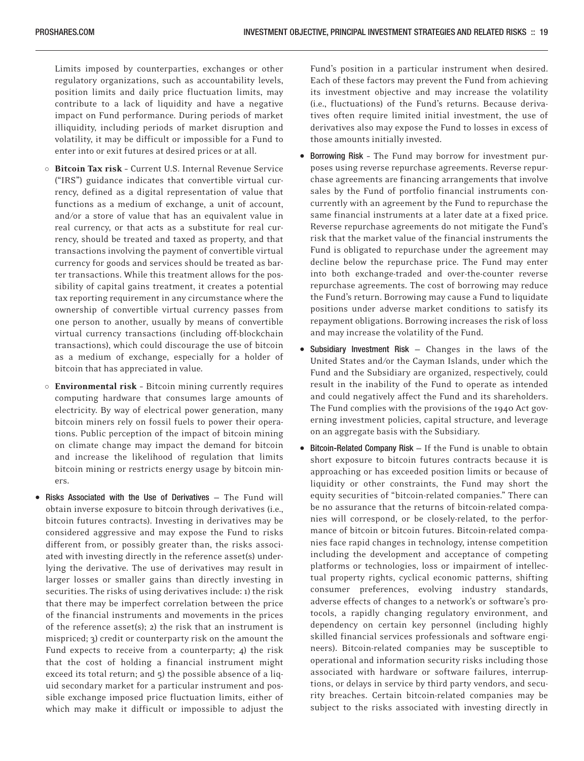Limits imposed by counterparties, exchanges or other regulatory organizations, such as accountability levels, position limits and daily price fluctuation limits, may contribute to a lack of liquidity and have a negative impact on Fund performance. During periods of market illiquidity, including periods of market disruption and volatility, it may be difficult or impossible for a Fund to enter into or exit futures at desired prices or at all.

- o Bitcoin Tax risk Current U.S. Internal Revenue Service ("IRS") guidance indicates that convertible virtual currency, defined as a digital representation of value that functions as a medium of exchange, a unit of account, and/or a store of value that has an equivalent value in real currency, or that acts as a substitute for real currency, should be treated and taxed as property, and that transactions involving the payment of convertible virtual currency for goods and services should be treated as barter transactions. While this treatment allows for the possibility of capital gains treatment, it creates a potential tax reporting requirement in any circumstance where the ownership of convertible virtual currency passes from one person to another, usually by means of convertible virtual currency transactions (including off-blockchain transactions), which could discourage the use of bitcoin as a medium of exchange, especially for a holder of bitcoin that has appreciated in value.
- o Environmental risk Bitcoin mining currently requires computing hardware that consumes large amounts of electricity. By way of electrical power generation, many bitcoin miners rely on fossil fuels to power their operations. Public perception of the impact of bitcoin mining on climate change may impact the demand for bitcoin and increase the likelihood of regulation that limits bitcoin mining or restricts energy usage by bitcoin miners
- Risks Associated with the Use of Derivatives The Fund will obtain inverse exposure to bitcoin through derivatives (i.e., bitcoin futures contracts). Investing in derivatives may be considered aggressive and may expose the Fund to risks different from, or possibly greater than, the risks associated with investing directly in the reference asset(s) underlying the derivative. The use of derivatives may result in larger losses or smaller gains than directly investing in securities. The risks of using derivatives include: 1) the risk that there may be imperfect correlation between the price of the financial instruments and movements in the prices of the reference asset(s); 2) the risk that an instrument is mispriced; 3) credit or counterparty risk on the amount the Fund expects to receive from a counterparty; 4) the risk that the cost of holding a financial instrument might exceed its total return; and 5) the possible absence of a liquid secondary market for a particular instrument and possible exchange imposed price fluctuation limits, either of which may make it difficult or impossible to adjust the

Fund's position in a particular instrument when desired. Each of these factors may prevent the Fund from achieving its investment objective and may increase the volatility (i.e., fluctuations) of the Fund's returns. Because derivatives often require limited initial investment, the use of derivatives also may expose the Fund to losses in excess of those amounts initially invested.

- Borrowing Risk The Fund may borrow for investment purposes using reverse repurchase agreements. Reverse repurchase agreements are financing arrangements that involve sales by the Fund of portfolio financial instruments concurrently with an agreement by the Fund to repurchase the same financial instruments at a later date at a fixed price. Reverse repurchase agreements do not mitigate the Fund's risk that the market value of the financial instruments the Fund is obligated to repurchase under the agreement may decline below the repurchase price. The Fund may enter into both exchange-traded and over-the-counter reverse repurchase agreements. The cost of borrowing may reduce the Fund's return. Borrowing may cause a Fund to liquidate positions under adverse market conditions to satisfy its repayment obligations. Borrowing increases the risk of loss and may increase the volatility of the Fund.
- Subsidiary Investment Risk Changes in the laws of the United States and/or the Cayman Islands, under which the Fund and the Subsidiary are organized, respectively, could result in the inability of the Fund to operate as intended and could negatively affect the Fund and its shareholders. The Fund complies with the provisions of the 1940 Act governing investment policies, capital structure, and leverage on an aggregate basis with the Subsidiary.
- Bitcoin-Related Company Risk If the Fund is unable to obtain short exposure to bitcoin futures contracts because it is approaching or has exceeded position limits or because of liquidity or other constraints, the Fund may short the equity securities of "bitcoin-related companies." There can be no assurance that the returns of bitcoin-related companies will correspond, or be closely-related, to the performance of bitcoin or bitcoin futures. Bitcoin-related companies face rapid changes in technology, intense competition including the development and acceptance of competing platforms or technologies, loss or impairment of intellectual property rights, cyclical economic patterns, shifting consumer preferences, evolving industry standards, adverse effects of changes to a network's or software's protocols, a rapidly changing regulatory environment, and dependency on certain key personnel (including highly skilled financial services professionals and software engineers). Bitcoin-related companies may be susceptible to operational and information security risks including those associated with hardware or software failures, interruptions, or delays in service by third party vendors, and security breaches. Certain bitcoin-related companies may be subject to the risks associated with investing directly in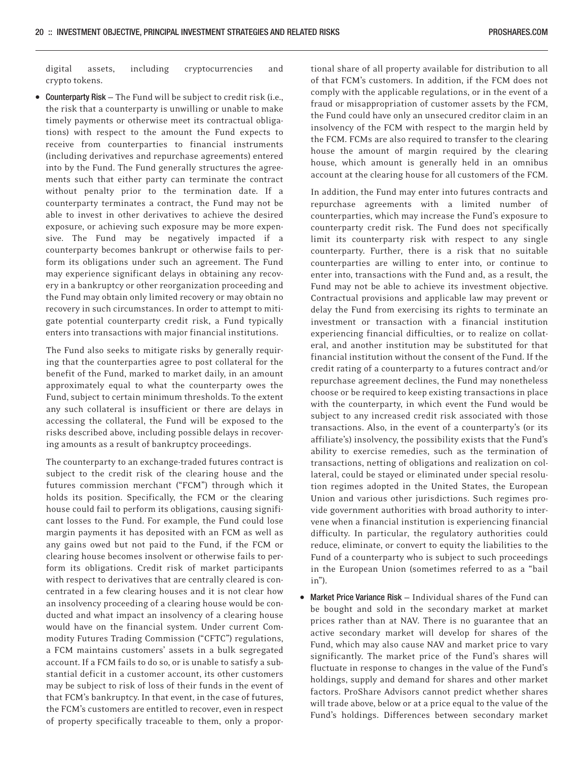digital assets, including cryptocurrencies and crypto tokens.

• Counterparty Risk — The Fund will be subject to credit risk (i.e., the risk that a counterparty is unwilling or unable to make timely payments or otherwise meet its contractual obligations) with respect to the amount the Fund expects to receive from counterparties to financial instruments (including derivatives and repurchase agreements) entered into by the Fund. The Fund generally structures the agreements such that either party can terminate the contract without penalty prior to the termination date. If a counterparty terminates a contract, the Fund may not be able to invest in other derivatives to achieve the desired exposure, or achieving such exposure may be more expensive. The Fund may be negatively impacted if a counterparty becomes bankrupt or otherwise fails to perform its obligations under such an agreement. The Fund may experience significant delays in obtaining any recovery in a bankruptcy or other reorganization proceeding and the Fund may obtain only limited recovery or may obtain no recovery in such circumstances. In order to attempt to mitigate potential counterparty credit risk, a Fund typically enters into transactions with major financial institutions.

The Fund also seeks to mitigate risks by generally requiring that the counterparties agree to post collateral for the benefit of the Fund, marked to market daily, in an amount approximately equal to what the counterparty owes the Fund, subject to certain minimum thresholds. To the extent any such collateral is insufficient or there are delays in accessing the collateral, the Fund will be exposed to the risks described above, including possible delays in recovering amounts as a result of bankruptcy proceedings.

The counterparty to an exchange-traded futures contract is subject to the credit risk of the clearing house and the futures commission merchant ("FCM") through which it holds its position. Specifically, the FCM or the clearing house could fail to perform its obligations, causing significant losses to the Fund. For example, the Fund could lose margin payments it has deposited with an FCM as well as any gains owed but not paid to the Fund, if the FCM or clearing house becomes insolvent or otherwise fails to perform its obligations. Credit risk of market participants with respect to derivatives that are centrally cleared is concentrated in a few clearing houses and it is not clear how an insolvency proceeding of a clearing house would be conducted and what impact an insolvency of a clearing house would have on the financial system. Under current Commodity Futures Trading Commission ("CFTC") regulations, a FCM maintains customers' assets in a bulk segregated account. If a FCM fails to do so, or is unable to satisfy a substantial deficit in a customer account, its other customers may be subject to risk of loss of their funds in the event of that FCM's bankruptcy. In that event, in the case of futures, the FCM's customers are entitled to recover, even in respect of property specifically traceable to them, only a proportional share of all property available for distribution to all of that FCM's customers. In addition, if the FCM does not comply with the applicable regulations, or in the event of a fraud or misappropriation of customer assets by the FCM, the Fund could have only an unsecured creditor claim in an insolvency of the FCM with respect to the margin held by the FCM. FCMs are also required to transfer to the clearing house the amount of margin required by the clearing house, which amount is generally held in an omnibus account at the clearing house for all customers of the FCM.

In addition, the Fund may enter into futures contracts and repurchase agreements with a limited number of counterparties, which may increase the Fund's exposure to counterparty credit risk. The Fund does not specifically limit its counterparty risk with respect to any single counterparty. Further, there is a risk that no suitable counterparties are willing to enter into, or continue to enter into, transactions with the Fund and, as a result, the Fund may not be able to achieve its investment objective. Contractual provisions and applicable law may prevent or delay the Fund from exercising its rights to terminate an investment or transaction with a financial institution experiencing financial difficulties, or to realize on collateral, and another institution may be substituted for that financial institution without the consent of the Fund. If the credit rating of a counterparty to a futures contract and/or repurchase agreement declines, the Fund may nonetheless choose or be required to keep existing transactions in place with the counterparty, in which event the Fund would be subject to any increased credit risk associated with those transactions. Also, in the event of a counterparty's (or its affiliate's) insolvency, the possibility exists that the Fund's ability to exercise remedies, such as the termination of transactions, netting of obligations and realization on collateral, could be stayed or eliminated under special resolution regimes adopted in the United States, the European Union and various other jurisdictions. Such regimes provide government authorities with broad authority to intervene when a financial institution is experiencing financial difficulty. In particular, the regulatory authorities could reduce, eliminate, or convert to equity the liabilities to the Fund of a counterparty who is subject to such proceedings in the European Union (sometimes referred to as a "bail in").

• Market Price Variance Risk — Individual shares of the Fund can be bought and sold in the secondary market at market prices rather than at NAV. There is no guarantee that an active secondary market will develop for shares of the Fund, which may also cause NAV and market price to vary significantly. The market price of the Fund's shares will fluctuate in response to changes in the value of the Fund's holdings, supply and demand for shares and other market factors. ProShare Advisors cannot predict whether shares will trade above, below or at a price equal to the value of the Fund's holdings. Differences between secondary market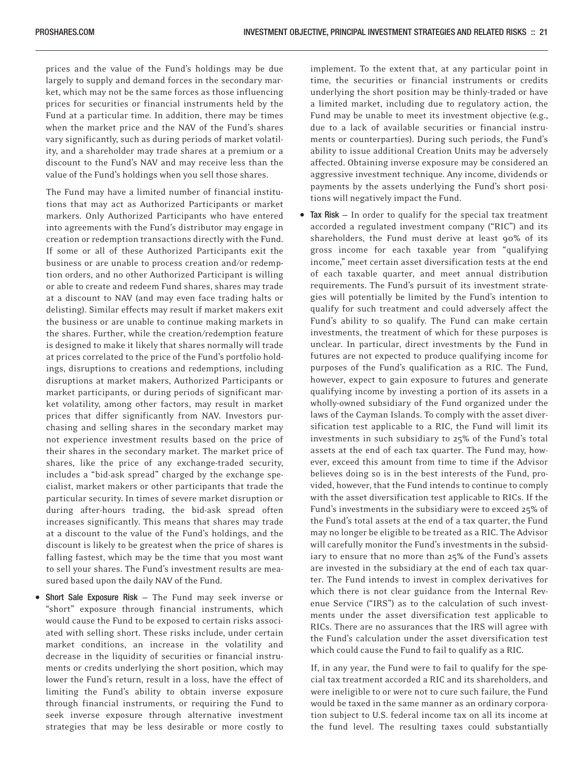prices and the value of the Fund's holdings may be due largely to supply and demand forces in the secondary market, which may not be the same forces as those influencing prices for securities or financial instruments held by the Fund at a particular time. In addition, there may be times when the market price and the NAV of the Fund's shares vary significantly, such as during periods of market volatility, and a shareholder may trade shares at a premium or a discount to the Fund's NAV and may receive less than the value of the Fund's holdings when you sell those shares.

The Fund may have a limited number of financial institutions that may act as Authorized Participants or market markers. Only Authorized Participants who have entered into agreements with the Fund's distributor may engage in creation or redemption transactions directly with the Fund. If some or all of these Authorized Participants exit the business or are unable to process creation and/or redemption orders, and no other Authorized Participant is willing or able to create and redeem Fund shares, shares may trade at a discount to NAV (and may even face trading halts or delisting). Similar effects may result if market makers exit the business or are unable to continue making markets in the shares. Further, while the creation/redemption feature is designed to make it likely that shares normally will trade at prices correlated to the price of the Fund's portfolio holdings, disruptions to creations and redemptions, including disruptions at market makers, Authorized Participants or market participants, or during periods of significant market volatility, among other factors, may result in market prices that differ significantly from NAV. Investors purchasing and selling shares in the secondary market may not experience investment results based on the price of their shares in the secondary market. The market price of shares, like the price of any exchange-traded security, includes a "bid-ask spread" charged by the exchange specialist, market makers or other participants that trade the particular security. In times of severe market disruption or during after-hours trading, the bid-ask spread often increases significantly. This means that shares may trade at a discount to the value of the Fund's holdings, and the discount is likely to be greatest when the price of shares is falling fastest, which may be the time that you most want to sell your shares. The Fund's investment results are measured based upon the daily NAV of the Fund.

• Short Sale Exposure Risk — The Fund may seek inverse or "short" exposure through financial instruments, which would cause the Fund to be exposed to certain risks associated with selling short. These risks include, under certain market conditions, an increase in the volatility and decrease in the liquidity of securities or financial instruments or credits underlying the short position, which may lower the Fund's return, result in a loss, have the effect of limiting the Fund's ability to obtain inverse exposure through financial instruments, or requiring the Fund to seek inverse exposure through alternative investment strategies that may be less desirable or more costly to

implement. To the extent that, at any particular point in time, the securities or financial instruments or credits underlying the short position may be thinly-traded or have a limited market, including due to regulatory action, the Fund may be unable to meet its investment objective (e.g., due to a lack of available securities or financial instruments or counterparties). During such periods, the Fund's ability to issue additional Creation Units may be adversely affected. Obtaining inverse exposure may be considered an aggressive investment technique. Any income, dividends or payments by the assets underlying the Fund's short positions will negatively impact the Fund.

Tax  $Risk - In order to qualify for the special tax treatment$ accorded a regulated investment company ("RIC") and its shareholders, the Fund must derive at least 90% of its gross income for each taxable year from "qualifying income," meet certain asset diversification tests at the end of each taxable quarter, and meet annual distribution requirements. The Fund's pursuit of its investment strategies will potentially be limited by the Fund's intention to qualify for such treatment and could adversely affect the Fund's ability to so qualify. The Fund can make certain investments, the treatment of which for these purposes is unclear. In particular, direct investments by the Fund in futures are not expected to produce qualifying income for purposes of the Fund's qualification as a RIC. The Fund, however, expect to gain exposure to futures and generate qualifying income by investing a portion of its assets in a wholly-owned subsidiary of the Fund organized under the laws of the Cayman Islands. To comply with the asset diversification test applicable to a RIC, the Fund will limit its investments in such subsidiary to 25% of the Fund's total assets at the end of each tax quarter. The Fund may, however, exceed this amount from time to time if the Advisor believes doing so is in the best interests of the Fund, provided, however, that the Fund intends to continue to comply with the asset diversification test applicable to RICs. If the Fund's investments in the subsidiary were to exceed 25% of the Fund's total assets at the end of a tax quarter, the Fund may no longer be eligible to be treated as a RIC. The Advisor will carefully monitor the Fund's investments in the subsidiary to ensure that no more than 25% of the Fund's assets are invested in the subsidiary at the end of each tax quarter. The Fund intends to invest in complex derivatives for which there is not clear guidance from the Internal Revenue Service ("IRS") as to the calculation of such investments under the asset diversification test applicable to RICs. There are no assurances that the IRS will agree with the Fund's calculation under the asset diversification test which could cause the Fund to fail to qualify as a RIC.

If, in any year, the Fund were to fail to qualify for the special tax treatment accorded a RIC and its shareholders, and were ineligible to or were not to cure such failure, the Fund would be taxed in the same manner as an ordinary corporation subject to U.S. federal income tax on all its income at the fund level. The resulting taxes could substantially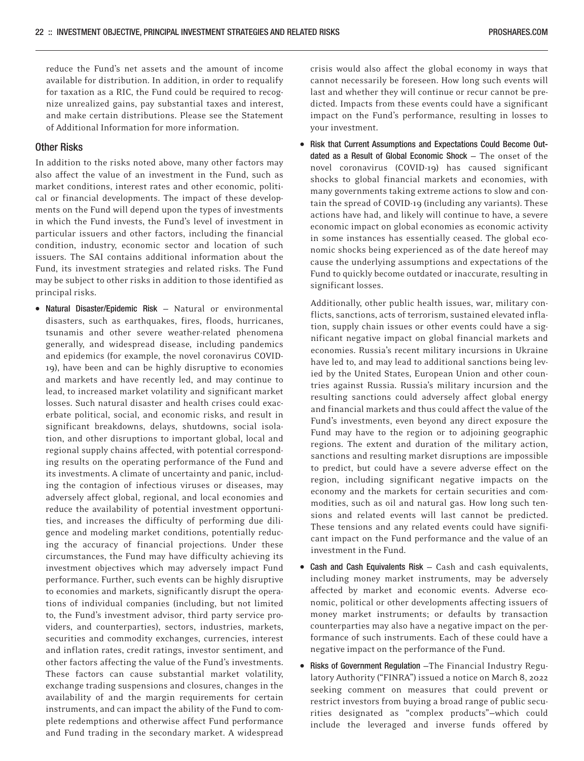reduce the Fund's net assets and the amount of income available for distribution. In addition, in order to requalify for taxation as a RIC, the Fund could be required to recognize unrealized gains, pay substantial taxes and interest, and make certain distributions. Please see the Statement of Additional Information for more information.

#### Other Risks

In addition to the risks noted above, many other factors may also affect the value of an investment in the Fund, such as market conditions, interest rates and other economic, political or financial developments. The impact of these developments on the Fund will depend upon the types of investments in which the Fund invests, the Fund's level of investment in particular issuers and other factors, including the financial condition, industry, economic sector and location of such issuers. The SAI contains additional information about the Fund, its investment strategies and related risks. The Fund may be subject to other risks in addition to those identified as principal risks.

• Natural Disaster/Epidemic Risk — Natural or environmental disasters, such as earthquakes, fires, floods, hurricanes, tsunamis and other severe weather-related phenomena generally, and widespread disease, including pandemics and epidemics (for example, the novel coronavirus COVID-19), have been and can be highly disruptive to economies and markets and have recently led, and may continue to lead, to increased market volatility and significant market losses. Such natural disaster and health crises could exacerbate political, social, and economic risks, and result in significant breakdowns, delays, shutdowns, social isolation, and other disruptions to important global, local and regional supply chains affected, with potential corresponding results on the operating performance of the Fund and its investments. A climate of uncertainty and panic, including the contagion of infectious viruses or diseases, may adversely affect global, regional, and local economies and reduce the availability of potential investment opportunities, and increases the difficulty of performing due diligence and modeling market conditions, potentially reducing the accuracy of financial projections. Under these circumstances, the Fund may have difficulty achieving its investment objectives which may adversely impact Fund performance. Further, such events can be highly disruptive to economies and markets, significantly disrupt the operations of individual companies (including, but not limited to, the Fund's investment advisor, third party service providers, and counterparties), sectors, industries, markets, securities and commodity exchanges, currencies, interest and inflation rates, credit ratings, investor sentiment, and other factors affecting the value of the Fund's investments. These factors can cause substantial market volatility, exchange trading suspensions and closures, changes in the availability of and the margin requirements for certain instruments, and can impact the ability of the Fund to complete redemptions and otherwise affect Fund performance and Fund trading in the secondary market. A widespread

crisis would also affect the global economy in ways that cannot necessarily be foreseen. How long such events will last and whether they will continue or recur cannot be predicted. Impacts from these events could have a significant impact on the Fund's performance, resulting in losses to your investment.

• Risk that Current Assumptions and Expectations Could Become Outdated as a Result of Global Economic Shock — The onset of the novel coronavirus (COVID-19) has caused significant shocks to global financial markets and economies, with many governments taking extreme actions to slow and contain the spread of COVID-19 (including any variants). These actions have had, and likely will continue to have, a severe economic impact on global economies as economic activity in some instances has essentially ceased. The global economic shocks being experienced as of the date hereof may cause the underlying assumptions and expectations of the Fund to quickly become outdated or inaccurate, resulting in significant losses.

Additionally, other public health issues, war, military conflicts, sanctions, acts of terrorism, sustained elevated inflation, supply chain issues or other events could have a significant negative impact on global financial markets and economies. Russia's recent military incursions in Ukraine have led to, and may lead to additional sanctions being levied by the United States, European Union and other countries against Russia. Russia's military incursion and the resulting sanctions could adversely affect global energy and financial markets and thus could affect the value of the Fund's investments, even beyond any direct exposure the Fund may have to the region or to adjoining geographic regions. The extent and duration of the military action, sanctions and resulting market disruptions are impossible to predict, but could have a severe adverse effect on the region, including significant negative impacts on the economy and the markets for certain securities and commodities, such as oil and natural gas. How long such tensions and related events will last cannot be predicted. These tensions and any related events could have significant impact on the Fund performance and the value of an investment in the Fund.

- Cash and Cash Equivalents Risk Cash and cash equivalents, including money market instruments, may be adversely affected by market and economic events. Adverse economic, political or other developments affecting issuers of money market instruments; or defaults by transaction counterparties may also have a negative impact on the performance of such instruments. Each of these could have a negative impact on the performance of the Fund.
- Risks of Government Regulation —The Financial Industry Regulatory Authority ("FINRA") issued a notice on March 8, 2022 seeking comment on measures that could prevent or restrict investors from buying a broad range of public securities designated as "complex products"—which could include the leveraged and inverse funds offered by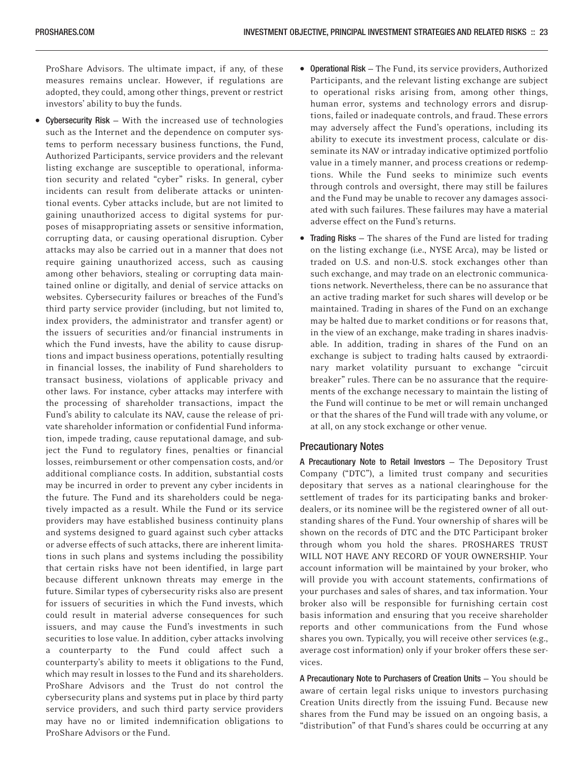ProShare Advisors. The ultimate impact, if any, of these measures remains unclear. However, if regulations are adopted, they could, among other things, prevent or restrict investors' ability to buy the funds.

- Cybersecurity Risk With the increased use of technologies such as the Internet and the dependence on computer systems to perform necessary business functions, the Fund, Authorized Participants, service providers and the relevant listing exchange are susceptible to operational, information security and related "cyber" risks. In general, cyber incidents can result from deliberate attacks or unintentional events. Cyber attacks include, but are not limited to gaining unauthorized access to digital systems for purposes of misappropriating assets or sensitive information, corrupting data, or causing operational disruption. Cyber attacks may also be carried out in a manner that does not require gaining unauthorized access, such as causing among other behaviors, stealing or corrupting data maintained online or digitally, and denial of service attacks on websites. Cybersecurity failures or breaches of the Fund's third party service provider (including, but not limited to, index providers, the administrator and transfer agent) or the issuers of securities and/or financial instruments in which the Fund invests, have the ability to cause disruptions and impact business operations, potentially resulting in financial losses, the inability of Fund shareholders to transact business, violations of applicable privacy and other laws. For instance, cyber attacks may interfere with the processing of shareholder transactions, impact the Fund's ability to calculate its NAV, cause the release of private shareholder information or confidential Fund information, impede trading, cause reputational damage, and subject the Fund to regulatory fines, penalties or financial losses, reimbursement or other compensation costs, and/or additional compliance costs. In addition, substantial costs may be incurred in order to prevent any cyber incidents in the future. The Fund and its shareholders could be negatively impacted as a result. While the Fund or its service providers may have established business continuity plans and systems designed to guard against such cyber attacks or adverse effects of such attacks, there are inherent limitations in such plans and systems including the possibility that certain risks have not been identified, in large part because different unknown threats may emerge in the future. Similar types of cybersecurity risks also are present for issuers of securities in which the Fund invests, which could result in material adverse consequences for such issuers, and may cause the Fund's investments in such securities to lose value. In addition, cyber attacks involving a counterparty to the Fund could affect such a counterparty's ability to meets it obligations to the Fund, which may result in losses to the Fund and its shareholders. ProShare Advisors and the Trust do not control the cybersecurity plans and systems put in place by third party service providers, and such third party service providers may have no or limited indemnification obligations to ProShare Advisors or the Fund.
- Operational Risk The Fund, its service providers, Authorized Participants, and the relevant listing exchange are subject to operational risks arising from, among other things, human error, systems and technology errors and disruptions, failed or inadequate controls, and fraud. These errors may adversely affect the Fund's operations, including its ability to execute its investment process, calculate or disseminate its NAV or intraday indicative optimized portfolio value in a timely manner, and process creations or redemptions. While the Fund seeks to minimize such events through controls and oversight, there may still be failures and the Fund may be unable to recover any damages associated with such failures. These failures may have a material adverse effect on the Fund's returns.
- Trading Risks The shares of the Fund are listed for trading on the listing exchange (i.e., NYSE Arca), may be listed or traded on U.S. and non-U.S. stock exchanges other than such exchange, and may trade on an electronic communications network. Nevertheless, there can be no assurance that an active trading market for such shares will develop or be maintained. Trading in shares of the Fund on an exchange may be halted due to market conditions or for reasons that, in the view of an exchange, make trading in shares inadvisable. In addition, trading in shares of the Fund on an exchange is subject to trading halts caused by extraordinary market volatility pursuant to exchange "circuit breaker" rules. There can be no assurance that the requirements of the exchange necessary to maintain the listing of the Fund will continue to be met or will remain unchanged or that the shares of the Fund will trade with any volume, or at all, on any stock exchange or other venue.

#### Precautionary Notes

A Precautionary Note to Retail Investors — The Depository Trust Company ("DTC"), a limited trust company and securities depositary that serves as a national clearinghouse for the settlement of trades for its participating banks and brokerdealers, or its nominee will be the registered owner of all outstanding shares of the Fund. Your ownership of shares will be shown on the records of DTC and the DTC Participant broker through whom you hold the shares. PROSHARES TRUST WILL NOT HAVE ANY RECORD OF YOUR OWNERSHIP. Your account information will be maintained by your broker, who will provide you with account statements, confirmations of your purchases and sales of shares, and tax information. Your broker also will be responsible for furnishing certain cost basis information and ensuring that you receive shareholder reports and other communications from the Fund whose shares you own. Typically, you will receive other services (e.g., average cost information) only if your broker offers these services.

A Precautionary Note to Purchasers of Creation Units — You should be aware of certain legal risks unique to investors purchasing Creation Units directly from the issuing Fund. Because new shares from the Fund may be issued on an ongoing basis, a "distribution" of that Fund's shares could be occurring at any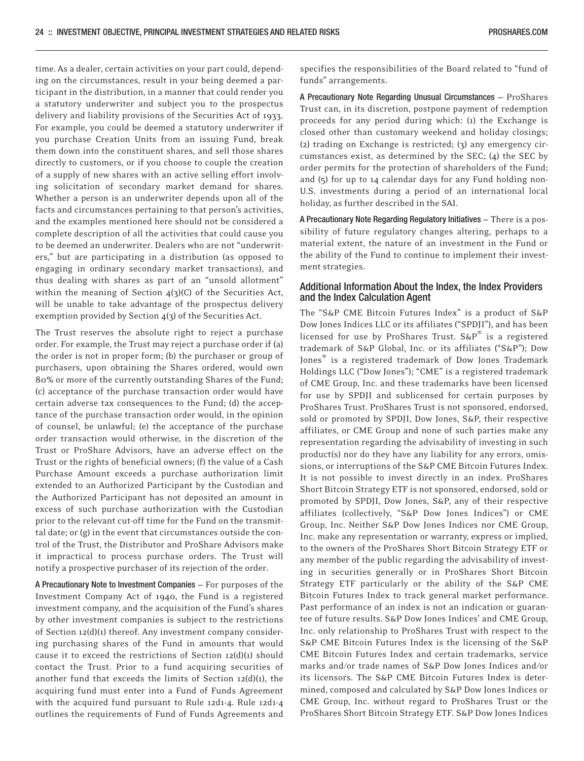time. As a dealer, certain activities on your part could, depending on the circumstances, result in your being deemed a participant in the distribution, in a manner that could render you a statutory underwriter and subject you to the prospectus delivery and liability provisions of the Securities Act of 1933. For example, you could be deemed a statutory underwriter if you purchase Creation Units from an issuing Fund, break them down into the constituent shares, and sell those shares directly to customers, or if you choose to couple the creation of a supply of new shares with an active selling effort involving solicitation of secondary market demand for shares. Whether a person is an underwriter depends upon all of the facts and circumstances pertaining to that person's activities, and the examples mentioned here should not be considered a complete description of all the activities that could cause you to be deemed an underwriter. Dealers who are not "underwriters," but are participating in a distribution (as opposed to engaging in ordinary secondary market transactions), and thus dealing with shares as part of an "unsold allotment" within the meaning of Section 4(3)(C) of the Securities Act, will be unable to take advantage of the prospectus delivery exemption provided by Section 4(3) of the Securities Act.

The Trust reserves the absolute right to reject a purchase order. For example, the Trust may reject a purchase order if (a) the order is not in proper form; (b) the purchaser or group of purchasers, upon obtaining the Shares ordered, would own 80% or more of the currently outstanding Shares of the Fund; (c) acceptance of the purchase transaction order would have certain adverse tax consequences to the Fund; (d) the acceptance of the purchase transaction order would, in the opinion of counsel, be unlawful; (e) the acceptance of the purchase order transaction would otherwise, in the discretion of the Trust or ProShare Advisors, have an adverse effect on the Trust or the rights of beneficial owners; (f) the value of a Cash Purchase Amount exceeds a purchase authorization limit extended to an Authorized Participant by the Custodian and the Authorized Participant has not deposited an amount in excess of such purchase authorization with the Custodian prior to the relevant cut-off time for the Fund on the transmittal date; or (g) in the event that circumstances outside the control of the Trust, the Distributor and ProShare Advisors make it impractical to process purchase orders. The Trust will notify a prospective purchaser of its rejection of the order.

A Precautionary Note to Investment Companies — For purposes of the Investment Company Act of 1940, the Fund is a registered investment company, and the acquisition of the Fund's shares by other investment companies is subject to the restrictions of Section 12(d)(1) thereof. Any investment company considering purchasing shares of the Fund in amounts that would cause it to exceed the restrictions of Section  $12(d)(1)$  should contact the Trust. Prior to a fund acquiring securities of another fund that exceeds the limits of Section 12(d)(1), the acquiring fund must enter into a Fund of Funds Agreement with the acquired fund pursuant to Rule 12d1-4. Rule 12d1-4 outlines the requirements of Fund of Funds Agreements and specifies the responsibilities of the Board related to "fund of funds" arrangements.

A Precautionary Note Regarding Unusual Circumstances — ProShares Trust can, in its discretion, postpone payment of redemption proceeds for any period during which: (1) the Exchange is closed other than customary weekend and holiday closings; (2) trading on Exchange is restricted; (3) any emergency circumstances exist, as determined by the SEC; (4) the SEC by order permits for the protection of shareholders of the Fund; and (5) for up to 14 calendar days for any Fund holding non-U.S. investments during a period of an international local holiday, as further described in the SAI.

A Precautionary Note Regarding Regulatory Initiatives — There is a possibility of future regulatory changes altering, perhaps to a material extent, the nature of an investment in the Fund or the ability of the Fund to continue to implement their investment strategies.

#### Additional Information About the Index, the Index Providers and the Index Calculation Agent

The "S&P CME Bitcoin Futures Index" is a product of S&P Dow Jones Indices LLC or its affiliates ("SPDJI"), and has been licensed for use by ProShares Trust. S&P® is a registered trademark of S&P Global, Inc. or its affiliates ("S&P"); Dow Jones® is a registered trademark of Dow Jones Trademark Holdings LLC ("Dow Jones"); "CME" is a registered trademark of CME Group, Inc. and these trademarks have been licensed for use by SPDJI and sublicensed for certain purposes by ProShares Trust. ProShares Trust is not sponsored, endorsed, sold or promoted by SPDJI, Dow Jones, S&P, their respective affiliates, or CME Group and none of such parties make any representation regarding the advisability of investing in such product(s) nor do they have any liability for any errors, omissions, or interruptions of the S&P CME Bitcoin Futures Index. It is not possible to invest directly in an index. ProShares Short Bitcoin Strategy ETF is not sponsored, endorsed, sold or promoted by SPDJI, Dow Jones, S&P, any of their respective affiliates (collectively, "S&P Dow Jones Indices") or CME Group, Inc. Neither S&P Dow Jones Indices nor CME Group, Inc. make any representation or warranty, express or implied, to the owners of the ProShares Short Bitcoin Strategy ETF or any member of the public regarding the advisability of investing in securities generally or in ProShares Short Bitcoin Strategy ETF particularly or the ability of the S&P CME Bitcoin Futures Index to track general market performance. Past performance of an index is not an indication or guarantee of future results. S&P Dow Jones Indices' and CME Group, Inc. only relationship to ProShares Trust with respect to the S&P CME Bitcoin Futures Index is the licensing of the S&P CME Bitcoin Futures Index and certain trademarks, service marks and/or trade names of S&P Dow Jones Indices and/or its licensors. The S&P CME Bitcoin Futures Index is determined, composed and calculated by S&P Dow Jones Indices or CME Group, Inc. without regard to ProShares Trust or the ProShares Short Bitcoin Strategy ETF. S&P Dow Jones Indices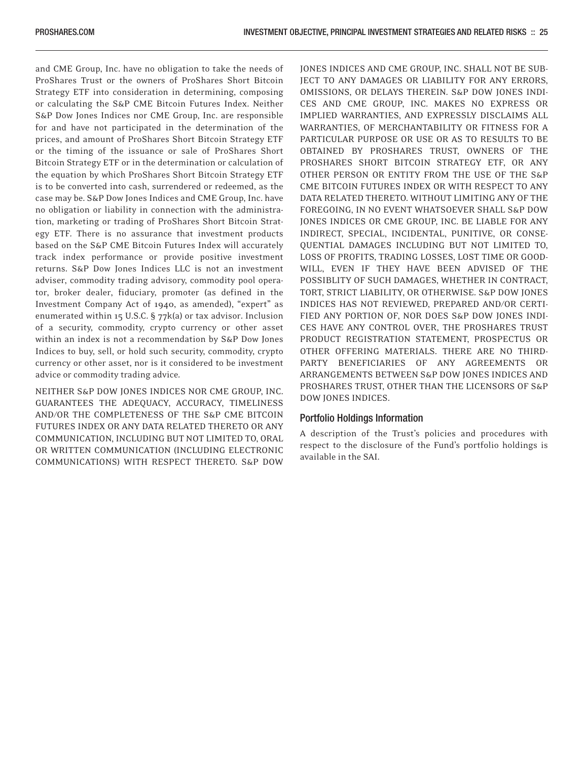and CME Group, Inc. have no obligation to take the needs of ProShares Trust or the owners of ProShares Short Bitcoin Strategy ETF into consideration in determining, composing or calculating the S&P CME Bitcoin Futures Index. Neither S&P Dow Jones Indices nor CME Group, Inc. are responsible for and have not participated in the determination of the prices, and amount of ProShares Short Bitcoin Strategy ETF or the timing of the issuance or sale of ProShares Short Bitcoin Strategy ETF or in the determination or calculation of the equation by which ProShares Short Bitcoin Strategy ETF is to be converted into cash, surrendered or redeemed, as the case may be. S&P Dow Jones Indices and CME Group, Inc. have no obligation or liability in connection with the administration, marketing or trading of ProShares Short Bitcoin Strategy ETF. There is no assurance that investment products based on the S&P CME Bitcoin Futures Index will accurately track index performance or provide positive investment returns. S&P Dow Jones Indices LLC is not an investment adviser, commodity trading advisory, commodity pool operator, broker dealer, fiduciary, promoter (as defined in the Investment Company Act of 1940, as amended), "expert" as enumerated within 15 U.S.C. § 77k(a) or tax advisor. Inclusion of a security, commodity, crypto currency or other asset within an index is not a recommendation by S&P Dow Jones Indices to buy, sell, or hold such security, commodity, crypto currency or other asset, nor is it considered to be investment advice or commodity trading advice.

NEITHER S&P DOW JONES INDICES NOR CME GROUP, INC. GUARANTEES THE ADEQUACY, ACCURACY, TIMELINESS AND/OR THE COMPLETENESS OF THE S&P CME BITCOIN FUTURES INDEX OR ANY DATA RELATED THERETO OR ANY COMMUNICATION, INCLUDING BUT NOT LIMITED TO, ORAL OR WRITTEN COMMUNICATION (INCLUDING ELECTRONIC COMMUNICATIONS) WITH RESPECT THERETO. S&P DOW JONES INDICES AND CME GROUP, INC. SHALL NOT BE SUB-JECT TO ANY DAMAGES OR LIABILITY FOR ANY ERRORS, OMISSIONS, OR DELAYS THEREIN. S&P DOW JONES INDI-CES AND CME GROUP, INC. MAKES NO EXPRESS OR IMPLIED WARRANTIES, AND EXPRESSLY DISCLAIMS ALL WARRANTIES, OF MERCHANTABILITY OR FITNESS FOR A PARTICULAR PURPOSE OR USE OR AS TO RESULTS TO BE OBTAINED BY PROSHARES TRUST, OWNERS OF THE PROSHARES SHORT BITCOIN STRATEGY ETF, OR ANY OTHER PERSON OR ENTITY FROM THE USE OF THE S&P CME BITCOIN FUTURES INDEX OR WITH RESPECT TO ANY DATA RELATED THERETO. WITHOUT LIMITING ANY OF THE FOREGOING, IN NO EVENT WHATSOEVER SHALL S&P DOW JONES INDICES OR CME GROUP, INC. BE LIABLE FOR ANY INDIRECT, SPECIAL, INCIDENTAL, PUNITIVE, OR CONSE-QUENTIAL DAMAGES INCLUDING BUT NOT LIMITED TO, LOSS OF PROFITS, TRADING LOSSES, LOST TIME OR GOOD-WILL, EVEN IF THEY HAVE BEEN ADVISED OF THE POSSIBLITY OF SUCH DAMAGES, WHETHER IN CONTRACT, TORT, STRICT LIABILITY, OR OTHERWISE. S&P DOW JONES INDICES HAS NOT REVIEWED, PREPARED AND/OR CERTI-FIED ANY PORTION OF, NOR DOES S&P DOW JONES INDI-CES HAVE ANY CONTROL OVER, THE PROSHARES TRUST PRODUCT REGISTRATION STATEMENT, PROSPECTUS OR OTHER OFFERING MATERIALS. THERE ARE NO THIRD-PARTY BENEFICIARIES OF ANY AGREEMENTS OR ARRANGEMENTS BETWEEN S&P DOW JONES INDICES AND PROSHARES TRUST, OTHER THAN THE LICENSORS OF S&P DOW JONES INDICES.

#### Portfolio Holdings Information

A description of the Trust's policies and procedures with respect to the disclosure of the Fund's portfolio holdings is available in the SAI.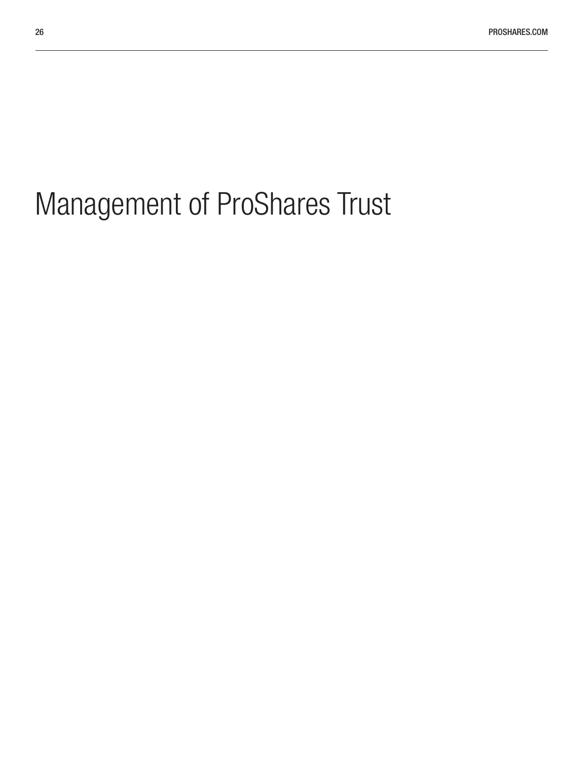# <span id="page-25-0"></span>Management of ProShares Trust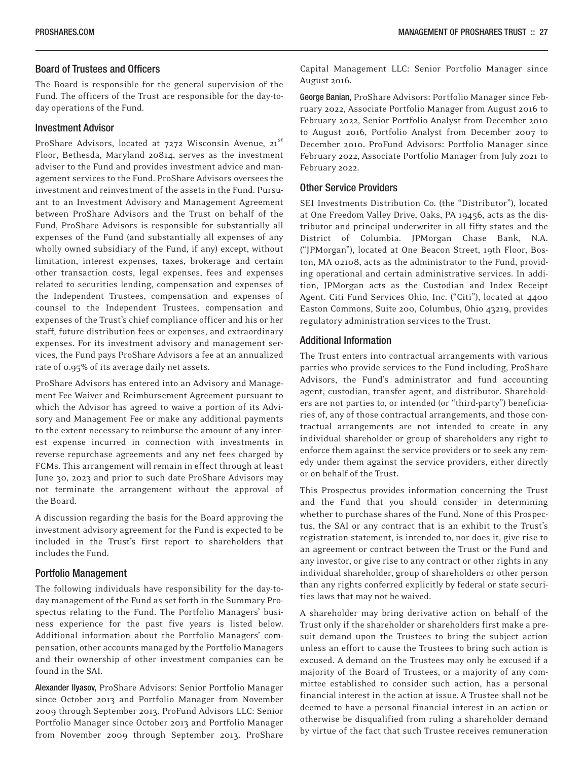#### Board of Trustees and Officers

The Board is responsible for the general supervision of the Fund. The officers of the Trust are responsible for the day-today operations of the Fund.

#### Investment Advisor

ProShare Advisors, located at 7272 Wisconsin Avenue, 21st Floor, Bethesda, Maryland 20814, serves as the investment adviser to the Fund and provides investment advice and management services to the Fund. ProShare Advisors oversees the investment and reinvestment of the assets in the Fund. Pursuant to an Investment Advisory and Management Agreement between ProShare Advisors and the Trust on behalf of the Fund, ProShare Advisors is responsible for substantially all expenses of the Fund (and substantially all expenses of any wholly owned subsidiary of the Fund, if any) except, without limitation, interest expenses, taxes, brokerage and certain other transaction costs, legal expenses, fees and expenses related to securities lending, compensation and expenses of the Independent Trustees, compensation and expenses of counsel to the Independent Trustees, compensation and expenses of the Trust's chief compliance officer and his or her staff, future distribution fees or expenses, and extraordinary expenses. For its investment advisory and management services, the Fund pays ProShare Advisors a fee at an annualized rate of 0.95% of its average daily net assets.

ProShare Advisors has entered into an Advisory and Management Fee Waiver and Reimbursement Agreement pursuant to which the Advisor has agreed to waive a portion of its Advisory and Management Fee or make any additional payments to the extent necessary to reimburse the amount of any interest expense incurred in connection with investments in reverse repurchase agreements and any net fees charged by FCMs. This arrangement will remain in effect through at least June 30, 2023 and prior to such date ProShare Advisors may not terminate the arrangement without the approval of the Board.

A discussion regarding the basis for the Board approving the investment advisory agreement for the Fund is expected to be included in the Trust's first report to shareholders that includes the Fund.

#### Portfolio Management

The following individuals have responsibility for the day-today management of the Fund as set forth in the Summary Prospectus relating to the Fund. The Portfolio Managers' business experience for the past five years is listed below. Additional information about the Portfolio Managers' compensation, other accounts managed by the Portfolio Managers and their ownership of other investment companies can be found in the SAI.

Alexander Ilyasov, ProShare Advisors: Senior Portfolio Manager since October 2013 and Portfolio Manager from November 2009 through September 2013. ProFund Advisors LLC: Senior Portfolio Manager since October 2013 and Portfolio Manager from November 2009 through September 2013. ProShare Capital Management LLC: Senior Portfolio Manager since August 2016.

George Banian, ProShare Advisors: Portfolio Manager since February 2022, Associate Portfolio Manager from August 2016 to February 2022, Senior Portfolio Analyst from December 2010 to August 2016, Portfolio Analyst from December 2007 to December 2010. ProFund Advisors: Portfolio Manager since February 2022, Associate Portfolio Manager from July 2021 to February 2022.

#### Other Service Providers

SEI Investments Distribution Co. (the "Distributor"), located at One Freedom Valley Drive, Oaks, PA 19456, acts as the distributor and principal underwriter in all fifty states and the District of Columbia. JPMorgan Chase Bank, N.A. ("JPMorgan"), located at One Beacon Street, 19th Floor, Boston, MA 02108, acts as the administrator to the Fund, providing operational and certain administrative services. In addition, JPMorgan acts as the Custodian and Index Receipt Agent. Citi Fund Services Ohio, Inc. ("Citi"), located at 4400 Easton Commons, Suite 200, Columbus, Ohio 43219, provides regulatory administration services to the Trust.

#### Additional Information

The Trust enters into contractual arrangements with various parties who provide services to the Fund including, ProShare Advisors, the Fund's administrator and fund accounting agent, custodian, transfer agent, and distributor. Shareholders are not parties to, or intended (or "third-party") beneficiaries of, any of those contractual arrangements, and those contractual arrangements are not intended to create in any individual shareholder or group of shareholders any right to enforce them against the service providers or to seek any remedy under them against the service providers, either directly or on behalf of the Trust.

This Prospectus provides information concerning the Trust and the Fund that you should consider in determining whether to purchase shares of the Fund. None of this Prospectus, the SAI or any contract that is an exhibit to the Trust's registration statement, is intended to, nor does it, give rise to an agreement or contract between the Trust or the Fund and any investor, or give rise to any contract or other rights in any individual shareholder, group of shareholders or other person than any rights conferred explicitly by federal or state securities laws that may not be waived.

A shareholder may bring derivative action on behalf of the Trust only if the shareholder or shareholders first make a presuit demand upon the Trustees to bring the subject action unless an effort to cause the Trustees to bring such action is excused. A demand on the Trustees may only be excused if a majority of the Board of Trustees, or a majority of any committee established to consider such action, has a personal financial interest in the action at issue. A Trustee shall not be deemed to have a personal financial interest in an action or otherwise be disqualified from ruling a shareholder demand by virtue of the fact that such Trustee receives remuneration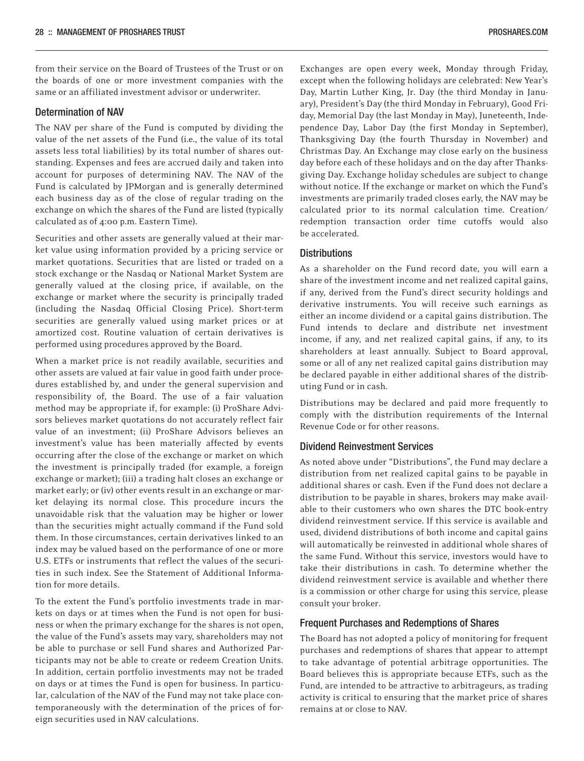<span id="page-27-0"></span>from their service on the Board of Trustees of the Trust or on the boards of one or more investment companies with the same or an affiliated investment advisor or underwriter.

#### Determination of NAV

The NAV per share of the Fund is computed by dividing the value of the net assets of the Fund (i.e., the value of its total assets less total liabilities) by its total number of shares outstanding. Expenses and fees are accrued daily and taken into account for purposes of determining NAV. The NAV of the Fund is calculated by JPMorgan and is generally determined each business day as of the close of regular trading on the exchange on which the shares of the Fund are listed (typically calculated as of 4:00 p.m. Eastern Time).

Securities and other assets are generally valued at their market value using information provided by a pricing service or market quotations. Securities that are listed or traded on a stock exchange or the Nasdaq or National Market System are generally valued at the closing price, if available, on the exchange or market where the security is principally traded (including the Nasdaq Official Closing Price). Short-term securities are generally valued using market prices or at amortized cost. Routine valuation of certain derivatives is performed using procedures approved by the Board.

When a market price is not readily available, securities and other assets are valued at fair value in good faith under procedures established by, and under the general supervision and responsibility of, the Board. The use of a fair valuation method may be appropriate if, for example: (i) ProShare Advisors believes market quotations do not accurately reflect fair value of an investment; (ii) ProShare Advisors believes an investment's value has been materially affected by events occurring after the close of the exchange or market on which the investment is principally traded (for example, a foreign exchange or market); (iii) a trading halt closes an exchange or market early; or (iv) other events result in an exchange or market delaying its normal close. This procedure incurs the unavoidable risk that the valuation may be higher or lower than the securities might actually command if the Fund sold them. In those circumstances, certain derivatives linked to an index may be valued based on the performance of one or more U.S. ETFs or instruments that reflect the values of the securities in such index. See the Statement of Additional Information for more details.

To the extent the Fund's portfolio investments trade in markets on days or at times when the Fund is not open for business or when the primary exchange for the shares is not open, the value of the Fund's assets may vary, shareholders may not be able to purchase or sell Fund shares and Authorized Participants may not be able to create or redeem Creation Units. In addition, certain portfolio investments may not be traded on days or at times the Fund is open for business. In particular, calculation of the NAV of the Fund may not take place contemporaneously with the determination of the prices of foreign securities used in NAV calculations.

Exchanges are open every week, Monday through Friday, except when the following holidays are celebrated: New Year's Day, Martin Luther King, Jr. Day (the third Monday in January), President's Day (the third Monday in February), Good Friday, Memorial Day (the last Monday in May), Juneteenth, Independence Day, Labor Day (the first Monday in September), Thanksgiving Day (the fourth Thursday in November) and Christmas Day. An Exchange may close early on the business day before each of these holidays and on the day after Thanksgiving Day. Exchange holiday schedules are subject to change without notice. If the exchange or market on which the Fund's investments are primarily traded closes early, the NAV may be calculated prior to its normal calculation time. Creation/ redemption transaction order time cutoffs would also be accelerated.

#### **Distributions**

As a shareholder on the Fund record date, you will earn a share of the investment income and net realized capital gains, if any, derived from the Fund's direct security holdings and derivative instruments. You will receive such earnings as either an income dividend or a capital gains distribution. The Fund intends to declare and distribute net investment income, if any, and net realized capital gains, if any, to its shareholders at least annually. Subject to Board approval, some or all of any net realized capital gains distribution may be declared payable in either additional shares of the distributing Fund or in cash.

Distributions may be declared and paid more frequently to comply with the distribution requirements of the Internal Revenue Code or for other reasons.

#### Dividend Reinvestment Services

As noted above under "Distributions", the Fund may declare a distribution from net realized capital gains to be payable in additional shares or cash. Even if the Fund does not declare a distribution to be payable in shares, brokers may make available to their customers who own shares the DTC book-entry dividend reinvestment service. If this service is available and used, dividend distributions of both income and capital gains will automatically be reinvested in additional whole shares of the same Fund. Without this service, investors would have to take their distributions in cash. To determine whether the dividend reinvestment service is available and whether there is a commission or other charge for using this service, please consult your broker.

#### Frequent Purchases and Redemptions of Shares

The Board has not adopted a policy of monitoring for frequent purchases and redemptions of shares that appear to attempt to take advantage of potential arbitrage opportunities. The Board believes this is appropriate because ETFs, such as the Fund, are intended to be attractive to arbitrageurs, as trading activity is critical to ensuring that the market price of shares remains at or close to NAV.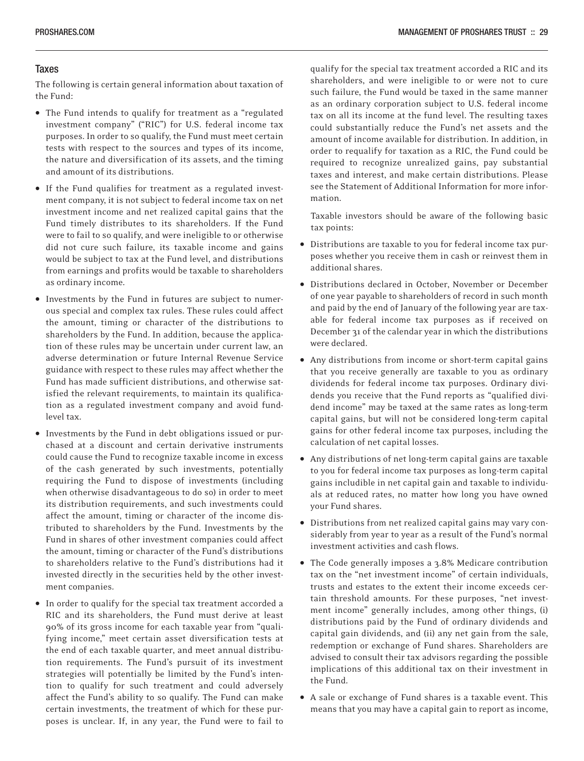#### <span id="page-28-0"></span>**Taxes**

The following is certain general information about taxation of the Fund:

- The Fund intends to qualify for treatment as a "regulated investment company" ("RIC") for U.S. federal income tax purposes. In order to so qualify, the Fund must meet certain tests with respect to the sources and types of its income, the nature and diversification of its assets, and the timing and amount of its distributions.
- If the Fund qualifies for treatment as a regulated investment company, it is not subject to federal income tax on net investment income and net realized capital gains that the Fund timely distributes to its shareholders. If the Fund were to fail to so qualify, and were ineligible to or otherwise did not cure such failure, its taxable income and gains would be subject to tax at the Fund level, and distributions from earnings and profits would be taxable to shareholders as ordinary income.
- Investments by the Fund in futures are subject to numerous special and complex tax rules. These rules could affect the amount, timing or character of the distributions to shareholders by the Fund. In addition, because the application of these rules may be uncertain under current law, an adverse determination or future Internal Revenue Service guidance with respect to these rules may affect whether the Fund has made sufficient distributions, and otherwise satisfied the relevant requirements, to maintain its qualification as a regulated investment company and avoid fundlevel tax.
- Investments by the Fund in debt obligations issued or purchased at a discount and certain derivative instruments could cause the Fund to recognize taxable income in excess of the cash generated by such investments, potentially requiring the Fund to dispose of investments (including when otherwise disadvantageous to do so) in order to meet its distribution requirements, and such investments could affect the amount, timing or character of the income distributed to shareholders by the Fund. Investments by the Fund in shares of other investment companies could affect the amount, timing or character of the Fund's distributions to shareholders relative to the Fund's distributions had it invested directly in the securities held by the other investment companies.
- In order to qualify for the special tax treatment accorded a RIC and its shareholders, the Fund must derive at least 90% of its gross income for each taxable year from "qualifying income," meet certain asset diversification tests at the end of each taxable quarter, and meet annual distribution requirements. The Fund's pursuit of its investment strategies will potentially be limited by the Fund's intention to qualify for such treatment and could adversely affect the Fund's ability to so qualify. The Fund can make certain investments, the treatment of which for these purposes is unclear. If, in any year, the Fund were to fail to

qualify for the special tax treatment accorded a RIC and its shareholders, and were ineligible to or were not to cure such failure, the Fund would be taxed in the same manner as an ordinary corporation subject to U.S. federal income tax on all its income at the fund level. The resulting taxes could substantially reduce the Fund's net assets and the amount of income available for distribution. In addition, in order to requalify for taxation as a RIC, the Fund could be required to recognize unrealized gains, pay substantial taxes and interest, and make certain distributions. Please see the Statement of Additional Information for more information.

Taxable investors should be aware of the following basic tax points:

- Distributions are taxable to you for federal income tax purposes whether you receive them in cash or reinvest them in additional shares.
- Distributions declared in October, November or December of one year payable to shareholders of record in such month and paid by the end of January of the following year are taxable for federal income tax purposes as if received on December 31 of the calendar year in which the distributions were declared.
- Any distributions from income or short-term capital gains that you receive generally are taxable to you as ordinary dividends for federal income tax purposes. Ordinary dividends you receive that the Fund reports as "qualified dividend income" may be taxed at the same rates as long-term capital gains, but will not be considered long-term capital gains for other federal income tax purposes, including the calculation of net capital losses.
- Any distributions of net long-term capital gains are taxable to you for federal income tax purposes as long-term capital gains includible in net capital gain and taxable to individuals at reduced rates, no matter how long you have owned your Fund shares.
- Distributions from net realized capital gains may vary considerably from year to year as a result of the Fund's normal investment activities and cash flows.
- The Code generally imposes a 3.8% Medicare contribution tax on the "net investment income" of certain individuals, trusts and estates to the extent their income exceeds certain threshold amounts. For these purposes, "net investment income" generally includes, among other things, (i) distributions paid by the Fund of ordinary dividends and capital gain dividends, and (ii) any net gain from the sale, redemption or exchange of Fund shares. Shareholders are advised to consult their tax advisors regarding the possible implications of this additional tax on their investment in the Fund.
- A sale or exchange of Fund shares is a taxable event. This means that you may have a capital gain to report as income,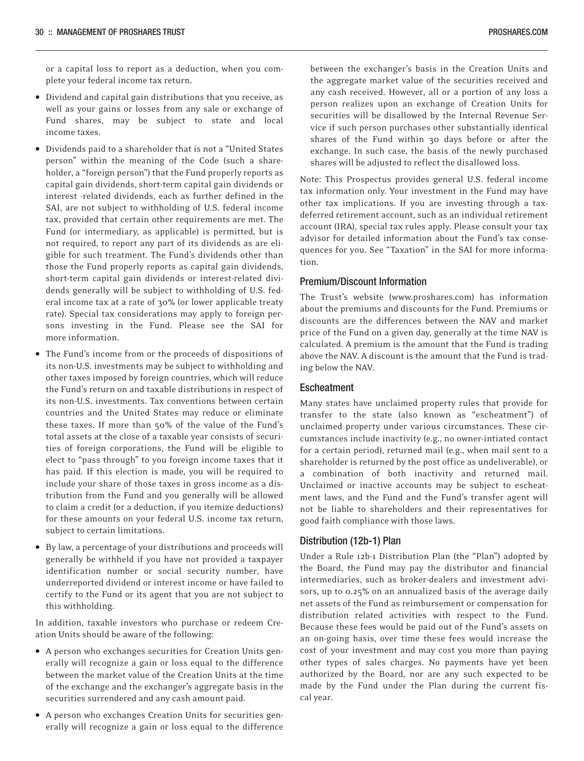or a capital loss to report as a deduction, when you complete your federal income tax return.

- Dividend and capital gain distributions that you receive, as well as your gains or losses from any sale or exchange of Fund shares, may be subject to state and local income taxes.
- Dividends paid to a shareholder that is not a "United States person" within the meaning of the Code (such a shareholder, a "foreign person") that the Fund properly reports as capital gain dividends, short-term capital gain dividends or interest -related dividends, each as further defined in the SAI, are not subject to withholding of U.S. federal income tax, provided that certain other requirements are met. The Fund (or intermediary, as applicable) is permitted, but is not required, to report any part of its dividends as are eligible for such treatment. The Fund's dividends other than those the Fund properly reports as capital gain dividends, short-term capital gain dividends or interest-related dividends generally will be subject to withholding of U.S. federal income tax at a rate of 30% (or lower applicable treaty rate). Special tax considerations may apply to foreign persons investing in the Fund. Please see the SAI for more information.
- The Fund's income from or the proceeds of dispositions of its non-U.S. investments may be subject to withholding and other taxes imposed by foreign countries, which will reduce the Fund's return on and taxable distributions in respect of its non-U.S. investments. Tax conventions between certain countries and the United States may reduce or eliminate these taxes. If more than 50% of the value of the Fund's total assets at the close of a taxable year consists of securities of foreign corporations, the Fund will be eligible to elect to "pass through" to you foreign income taxes that it has paid. If this election is made, you will be required to include your share of those taxes in gross income as a distribution from the Fund and you generally will be allowed to claim a credit (or a deduction, if you itemize deductions) for these amounts on your federal U.S. income tax return, subject to certain limitations.
- By law, a percentage of your distributions and proceeds will generally be withheld if you have not provided a taxpayer identification number or social security number, have underreported dividend or interest income or have failed to certify to the Fund or its agent that you are not subject to this withholding.

In addition, taxable investors who purchase or redeem Creation Units should be aware of the following:

- A person who exchanges securities for Creation Units generally will recognize a gain or loss equal to the difference between the market value of the Creation Units at the time of the exchange and the exchanger's aggregate basis in the securities surrendered and any cash amount paid.
- A person who exchanges Creation Units for securities generally will recognize a gain or loss equal to the difference

between the exchanger's basis in the Creation Units and the aggregate market value of the securities received and any cash received. However, all or a portion of any loss a person realizes upon an exchange of Creation Units for securities will be disallowed by the Internal Revenue Service if such person purchases other substantially identical shares of the Fund within 30 days before or after the exchange. In such case, the basis of the newly purchased shares will be adjusted to reflect the disallowed loss.

Note: This Prospectus provides general U.S. federal income tax information only. Your investment in the Fund may have other tax implications. If you are investing through a taxdeferred retirement account, such as an individual retirement account (IRA), special tax rules apply. Please consult your tax advisor for detailed information about the Fund's tax consequences for you. See "Taxation" in the SAI for more information.

#### Premium/Discount Information

The Trust's website (www.proshares.com) has information about the premiums and discounts for the Fund. Premiums or discounts are the differences between the NAV and market price of the Fund on a given day, generally at the time NAV is calculated. A premium is the amount that the Fund is trading above the NAV. A discount is the amount that the Fund is trading below the NAV.

#### Escheatment

Many states have unclaimed property rules that provide for transfer to the state (also known as "escheatment") of unclaimed property under various circumstances. These circumstances include inactivity (e.g., no owner-intiated contact for a certain period), returned mail (e.g., when mail sent to a shareholder is returned by the post office as undeliverable), or a combination of both inactivity and returned mail. Unclaimed or inactive accounts may be subject to escheatment laws, and the Fund and the Fund's transfer agent will not be liable to shareholders and their representatives for good faith compliance with those laws.

#### Distribution (12b-1) Plan

Under a Rule 12b-1 Distribution Plan (the "Plan") adopted by the Board, the Fund may pay the distributor and financial intermediaries, such as broker-dealers and investment advisors, up to 0.25% on an annualized basis of the average daily net assets of the Fund as reimbursement or compensation for distribution related activities with respect to the Fund. Because these fees would be paid out of the Fund's assets on an on-going basis, over time these fees would increase the cost of your investment and may cost you more than paying other types of sales charges. No payments have yet been authorized by the Board, nor are any such expected to be made by the Fund under the Plan during the current fiscal year.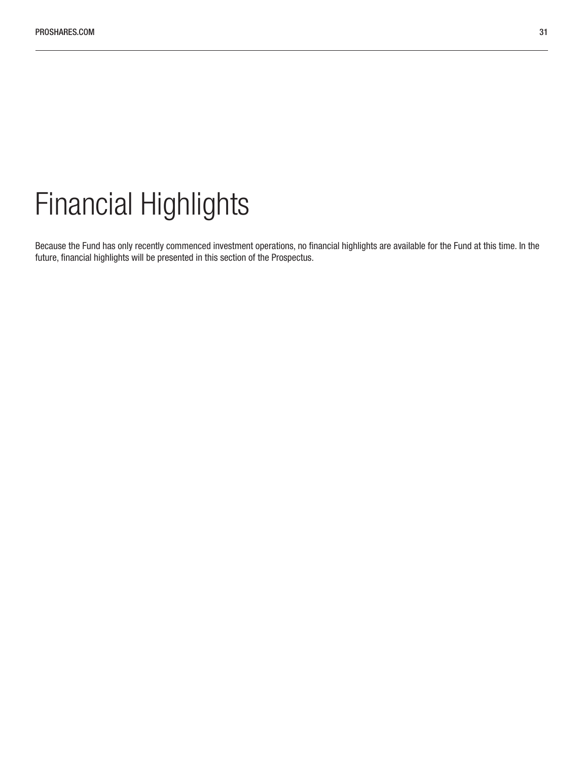### <span id="page-30-0"></span>Financial Highlights

Because the Fund has only recently commenced investment operations, no financial highlights are available for the Fund at this time. In the future, financial highlights will be presented in this section of the Prospectus.